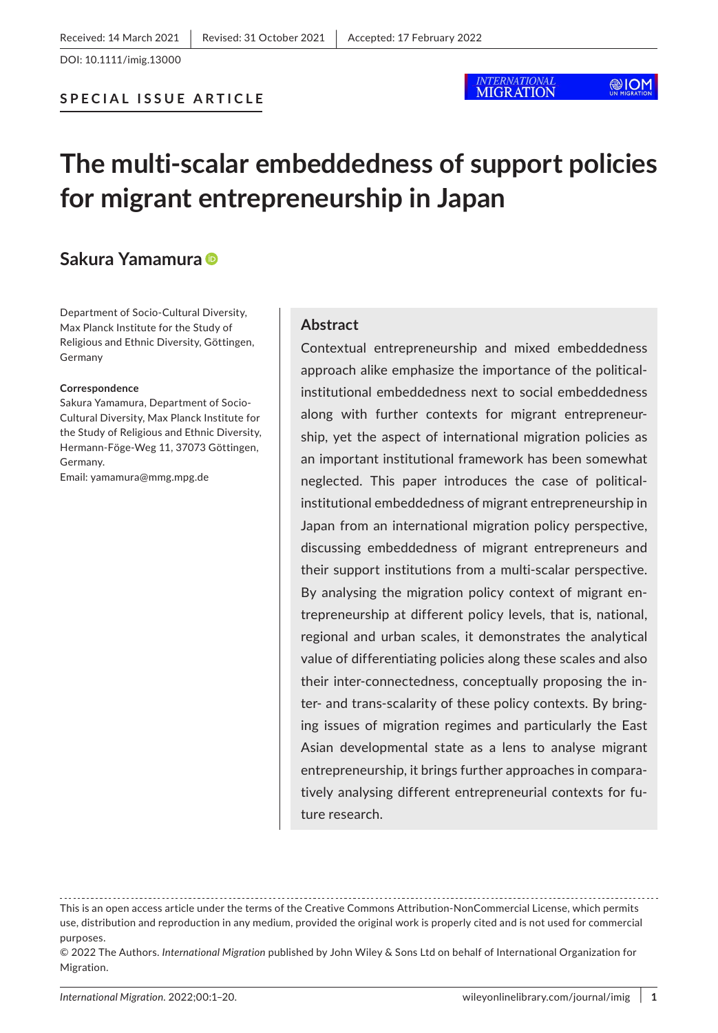**SPECIAL ISSUE ARTICLE**

## **MIGRATION**

# **The multi-scalar embeddedness of support policies for migrant entrepreneurship in Japan**

## **Sakura Yamamura**

Department of Socio-Cultural Diversity, Max Planck Institute for the Study of Religious and Ethnic Diversity, Göttingen, Germany

#### **Correspondence**

Sakura Yamamura, Department of Socio-Cultural Diversity, Max Planck Institute for the Study of Religious and Ethnic Diversity, Hermann-Föge-Weg 11, 37073 Göttingen, Germany.

Email: [yamamura@mmg.mpg.de](mailto:yamamura@mmg.mpg.de)

#### **Abstract**

Contextual entrepreneurship and mixed embeddedness approach alike emphasize the importance of the politicalinstitutional embeddedness next to social embeddedness along with further contexts for migrant entrepreneurship, yet the aspect of international migration policies as an important institutional framework has been somewhat neglected. This paper introduces the case of politicalinstitutional embeddedness of migrant entrepreneurship in Japan from an international migration policy perspective, discussing embeddedness of migrant entrepreneurs and their support institutions from a multi-scalar perspective. By analysing the migration policy context of migrant entrepreneurship at different policy levels, that is, national, regional and urban scales, it demonstrates the analytical value of differentiating policies along these scales and also their inter-connectedness, conceptually proposing the inter- and trans-scalarity of these policy contexts. By bringing issues of migration regimes and particularly the East Asian developmental state as a lens to analyse migrant entrepreneurship, it brings further approaches in comparatively analysing different entrepreneurial contexts for future research.

This is an open access article under the terms of the [Creative Commons Attribution-NonCommercial](http://creativecommons.org/licenses/by-nc/4.0/) License, which permits use, distribution and reproduction in any medium, provided the original work is properly cited and is not used for commercial purposes.

<sup>© 2022</sup> The Authors. *International Migration* published by John Wiley & Sons Ltd on behalf of International Organization for Migration.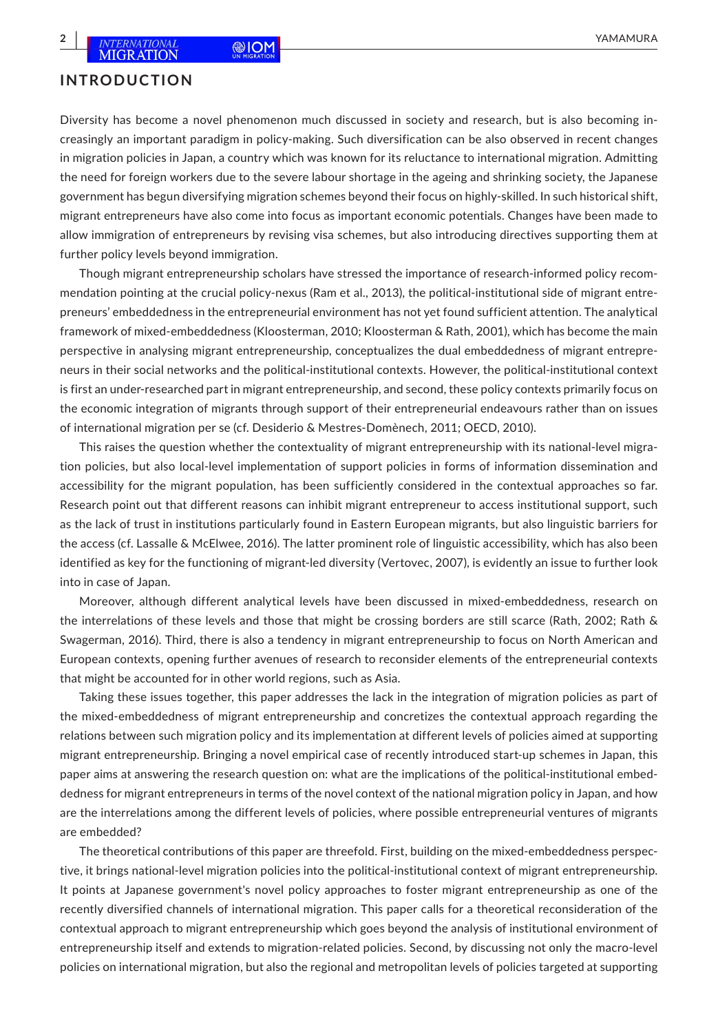## **INTRODUCTION**

Diversity has become a novel phenomenon much discussed in society and research, but is also becoming increasingly an important paradigm in policy-making. Such diversification can be also observed in recent changes in migration policies in Japan, a country which was known for its reluctance to international migration. Admitting the need for foreign workers due to the severe labour shortage in the ageing and shrinking society, the Japanese government has begun diversifying migration schemes beyond their focus on highly-skilled. In such historical shift, migrant entrepreneurs have also come into focus as important economic potentials. Changes have been made to allow immigration of entrepreneurs by revising visa schemes, but also introducing directives supporting them at further policy levels beyond immigration.

Though migrant entrepreneurship scholars have stressed the importance of research-informed policy recommendation pointing at the crucial policy-nexus (Ram et al., 2013), the political-institutional side of migrant entrepreneurs' embeddedness in the entrepreneurial environment has not yet found sufficient attention. The analytical framework of mixed-embeddedness (Kloosterman, 2010; Kloosterman & Rath, 2001), which has become the main perspective in analysing migrant entrepreneurship, conceptualizes the dual embeddedness of migrant entrepreneurs in their social networks and the political-institutional contexts. However, the political-institutional context is first an under-researched part in migrant entrepreneurship, and second, these policy contexts primarily focus on the economic integration of migrants through support of their entrepreneurial endeavours rather than on issues of international migration per se (cf. Desiderio & Mestres-Domènech, 2011; OECD, 2010).

This raises the question whether the contextuality of migrant entrepreneurship with its national-level migration policies, but also local-level implementation of support policies in forms of information dissemination and accessibility for the migrant population, has been sufficiently considered in the contextual approaches so far. Research point out that different reasons can inhibit migrant entrepreneur to access institutional support, such as the lack of trust in institutions particularly found in Eastern European migrants, but also linguistic barriers for the access (cf. Lassalle & McElwee, 2016). The latter prominent role of linguistic accessibility, which has also been identified as key for the functioning of migrant-led diversity (Vertovec, 2007), is evidently an issue to further look into in case of Japan.

Moreover, although different analytical levels have been discussed in mixed-embeddedness, research on the interrelations of these levels and those that might be crossing borders are still scarce (Rath, 2002; Rath & Swagerman, 2016). Third, there is also a tendency in migrant entrepreneurship to focus on North American and European contexts, opening further avenues of research to reconsider elements of the entrepreneurial contexts that might be accounted for in other world regions, such as Asia.

Taking these issues together, this paper addresses the lack in the integration of migration policies as part of the mixed-embeddedness of migrant entrepreneurship and concretizes the contextual approach regarding the relations between such migration policy and its implementation at different levels of policies aimed at supporting migrant entrepreneurship. Bringing a novel empirical case of recently introduced start-up schemes in Japan, this paper aims at answering the research question on: what are the implications of the political-institutional embeddedness for migrant entrepreneurs in terms of the novel context of the national migration policy in Japan, and how are the interrelations among the different levels of policies, where possible entrepreneurial ventures of migrants are embedded?

The theoretical contributions of this paper are threefold. First, building on the mixed-embeddedness perspective, it brings national-level migration policies into the political-institutional context of migrant entrepreneurship. It points at Japanese government's novel policy approaches to foster migrant entrepreneurship as one of the recently diversified channels of international migration. This paper calls for a theoretical reconsideration of the contextual approach to migrant entrepreneurship which goes beyond the analysis of institutional environment of entrepreneurship itself and extends to migration-related policies. Second, by discussing not only the macro-level policies on international migration, but also the regional and metropolitan levels of policies targeted at supporting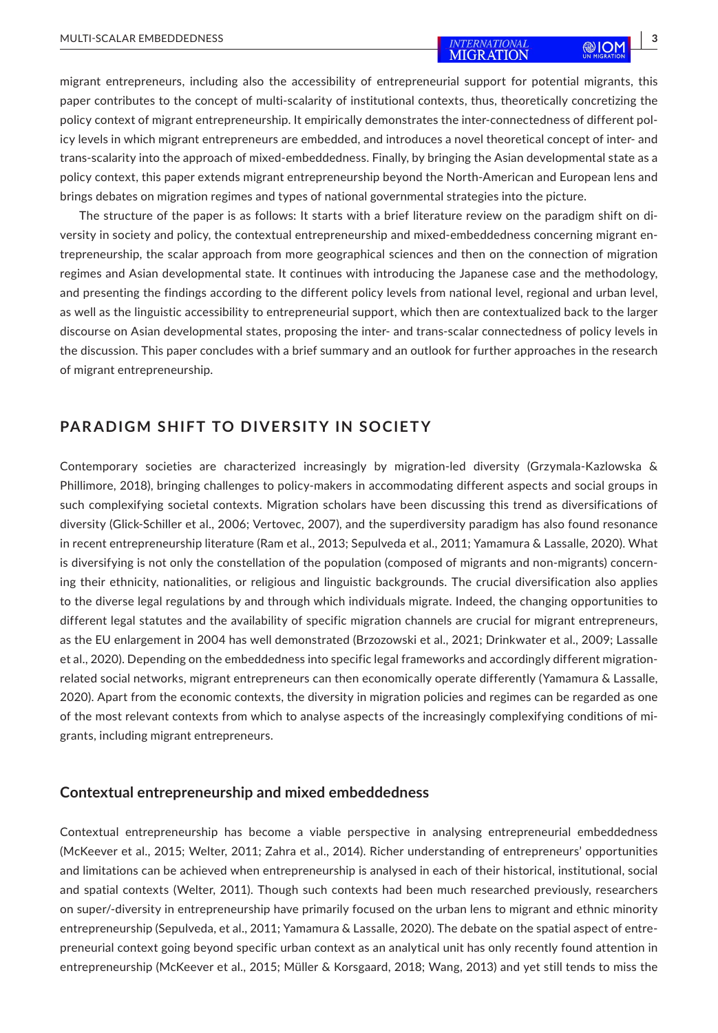migrant entrepreneurs, including also the accessibility of entrepreneurial support for potential migrants, this paper contributes to the concept of multi-scalarity of institutional contexts, thus, theoretically concretizing the policy context of migrant entrepreneurship. It empirically demonstrates the inter-connectedness of different policy levels in which migrant entrepreneurs are embedded, and introduces a novel theoretical concept of inter- and trans-scalarity into the approach of mixed-embeddedness. Finally, by bringing the Asian developmental state as a policy context, this paper extends migrant entrepreneurship beyond the North-American and European lens and brings debates on migration regimes and types of national governmental strategies into the picture.

The structure of the paper is as follows: It starts with a brief literature review on the paradigm shift on diversity in society and policy, the contextual entrepreneurship and mixed-embeddedness concerning migrant entrepreneurship, the scalar approach from more geographical sciences and then on the connection of migration regimes and Asian developmental state. It continues with introducing the Japanese case and the methodology, and presenting the findings according to the different policy levels from national level, regional and urban level, as well as the linguistic accessibility to entrepreneurial support, which then are contextualized back to the larger discourse on Asian developmental states, proposing the inter- and trans-scalar connectedness of policy levels in the discussion. This paper concludes with a brief summary and an outlook for further approaches in the research of migrant entrepreneurship.

## **PARADIGM SHIFT TO DIVERSITY IN SOCIETY**

Contemporary societies are characterized increasingly by migration-led diversity (Grzymala-Kazlowska & Phillimore, 2018), bringing challenges to policy-makers in accommodating different aspects and social groups in such complexifying societal contexts. Migration scholars have been discussing this trend as diversifications of diversity (Glick-Schiller et al., 2006; Vertovec, 2007), and the superdiversity paradigm has also found resonance in recent entrepreneurship literature (Ram et al., 2013; Sepulveda et al., 2011; Yamamura & Lassalle, 2020). What is diversifying is not only the constellation of the population (composed of migrants and non-migrants) concerning their ethnicity, nationalities, or religious and linguistic backgrounds. The crucial diversification also applies to the diverse legal regulations by and through which individuals migrate. Indeed, the changing opportunities to different legal statutes and the availability of specific migration channels are crucial for migrant entrepreneurs, as the EU enlargement in 2004 has well demonstrated (Brzozowski et al., 2021; Drinkwater et al., 2009; Lassalle et al., 2020). Depending on the embeddedness into specific legal frameworks and accordingly different migrationrelated social networks, migrant entrepreneurs can then economically operate differently (Yamamura & Lassalle, 2020). Apart from the economic contexts, the diversity in migration policies and regimes can be regarded as one of the most relevant contexts from which to analyse aspects of the increasingly complexifying conditions of migrants, including migrant entrepreneurs.

#### **Contextual entrepreneurship and mixed embeddedness**

Contextual entrepreneurship has become a viable perspective in analysing entrepreneurial embeddedness (McKeever et al., 2015; Welter, 2011; Zahra et al., 2014). Richer understanding of entrepreneurs' opportunities and limitations can be achieved when entrepreneurship is analysed in each of their historical, institutional, social and spatial contexts (Welter, 2011). Though such contexts had been much researched previously, researchers on super/-diversity in entrepreneurship have primarily focused on the urban lens to migrant and ethnic minority entrepreneurship (Sepulveda, et al., 2011; Yamamura & Lassalle, 2020). The debate on the spatial aspect of entrepreneurial context going beyond specific urban context as an analytical unit has only recently found attention in entrepreneurship (McKeever et al., 2015; Müller & Korsgaard, 2018; Wang, 2013) and yet still tends to miss the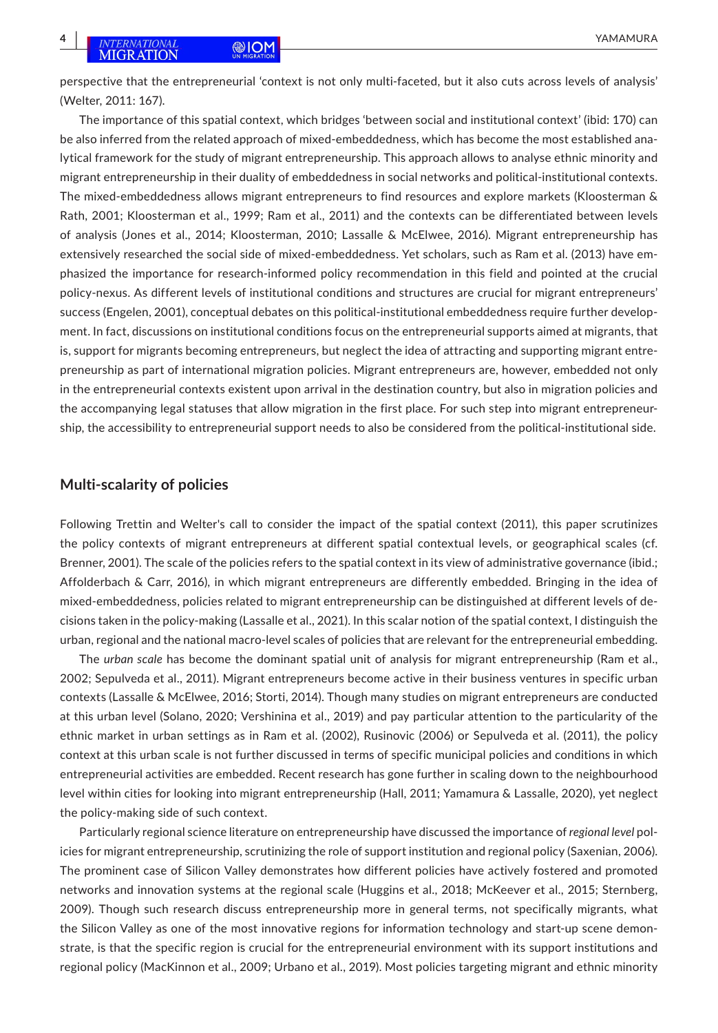perspective that the entrepreneurial 'context is not only multi-faceted, but it also cuts across levels of analysis' (Welter, 2011: 167).

The importance of this spatial context, which bridges 'between social and institutional context' (ibid: 170) can be also inferred from the related approach of mixed-embeddedness, which has become the most established analytical framework for the study of migrant entrepreneurship. This approach allows to analyse ethnic minority and migrant entrepreneurship in their duality of embeddedness in social networks and political-institutional contexts. The mixed-embeddedness allows migrant entrepreneurs to find resources and explore markets (Kloosterman & Rath, 2001; Kloosterman et al., 1999; Ram et al., 2011) and the contexts can be differentiated between levels of analysis (Jones et al., 2014; Kloosterman, 2010; Lassalle & McElwee, 2016). Migrant entrepreneurship has extensively researched the social side of mixed-embeddedness. Yet scholars, such as Ram et al. (2013) have emphasized the importance for research-informed policy recommendation in this field and pointed at the crucial policy-nexus. As different levels of institutional conditions and structures are crucial for migrant entrepreneurs' success (Engelen, 2001), conceptual debates on this political-institutional embeddedness require further development. In fact, discussions on institutional conditions focus on the entrepreneurial supports aimed at migrants, that is, support for migrants becoming entrepreneurs, but neglect the idea of attracting and supporting migrant entrepreneurship as part of international migration policies. Migrant entrepreneurs are, however, embedded not only in the entrepreneurial contexts existent upon arrival in the destination country, but also in migration policies and the accompanying legal statuses that allow migration in the first place. For such step into migrant entrepreneurship, the accessibility to entrepreneurial support needs to also be considered from the political-institutional side.

#### **Multi-scalarity of policies**

Following Trettin and Welter's call to consider the impact of the spatial context (2011), this paper scrutinizes the policy contexts of migrant entrepreneurs at different spatial contextual levels, or geographical scales (cf. Brenner, 2001). The scale of the policies refers to the spatial context in its view of administrative governance (ibid.; Affolderbach & Carr, 2016), in which migrant entrepreneurs are differently embedded. Bringing in the idea of mixed-embeddedness, policies related to migrant entrepreneurship can be distinguished at different levels of decisions taken in the policy-making (Lassalle et al., 2021). In this scalar notion of the spatial context, I distinguish the urban, regional and the national macro-level scales of policies that are relevant for the entrepreneurial embedding.

The *urban scale* has become the dominant spatial unit of analysis for migrant entrepreneurship (Ram et al., 2002; Sepulveda et al., 2011). Migrant entrepreneurs become active in their business ventures in specific urban contexts (Lassalle & McElwee, 2016; Storti, 2014). Though many studies on migrant entrepreneurs are conducted at this urban level (Solano, 2020; Vershinina et al., 2019) and pay particular attention to the particularity of the ethnic market in urban settings as in Ram et al. (2002), Rusinovic (2006) or Sepulveda et al. (2011), the policy context at this urban scale is not further discussed in terms of specific municipal policies and conditions in which entrepreneurial activities are embedded. Recent research has gone further in scaling down to the neighbourhood level within cities for looking into migrant entrepreneurship (Hall, 2011; Yamamura & Lassalle, 2020), yet neglect the policy-making side of such context.

Particularly regional science literature on entrepreneurship have discussed the importance of *regional level* policies for migrant entrepreneurship, scrutinizing the role of support institution and regional policy (Saxenian, 2006). The prominent case of Silicon Valley demonstrates how different policies have actively fostered and promoted networks and innovation systems at the regional scale (Huggins et al., 2018; McKeever et al., 2015; Sternberg, 2009). Though such research discuss entrepreneurship more in general terms, not specifically migrants, what the Silicon Valley as one of the most innovative regions for information technology and start-up scene demonstrate, is that the specific region is crucial for the entrepreneurial environment with its support institutions and regional policy (MacKinnon et al., 2009; Urbano et al., 2019). Most policies targeting migrant and ethnic minority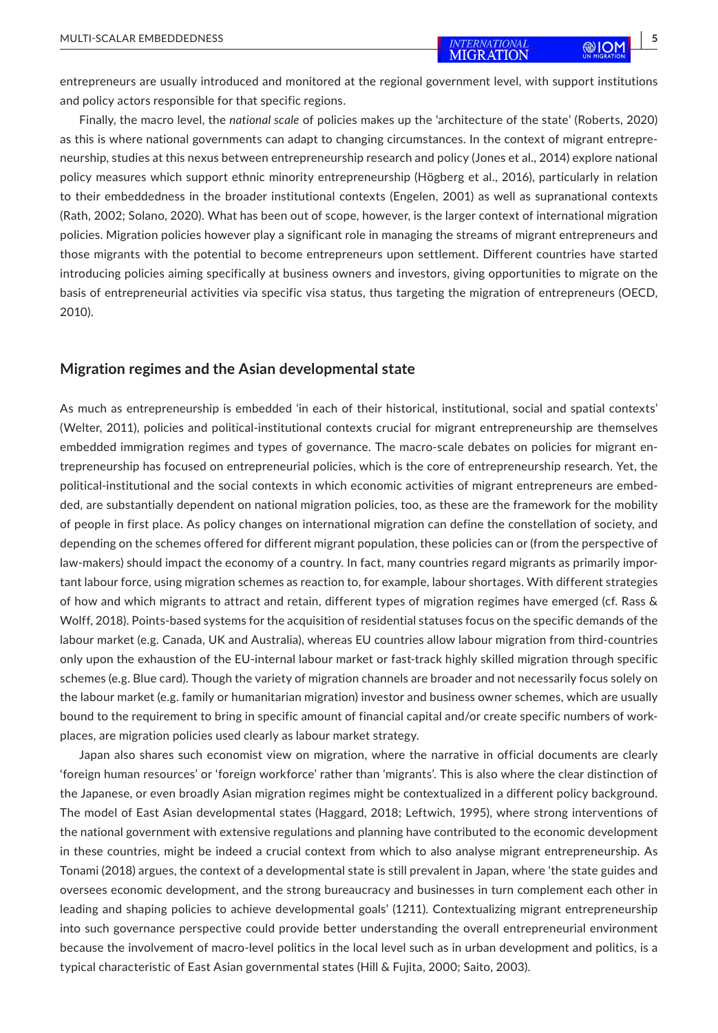entrepreneurs are usually introduced and monitored at the regional government level, with support institutions and policy actors responsible for that specific regions.

Finally, the macro level, the *national scale* of policies makes up the 'architecture of the state' (Roberts, 2020) as this is where national governments can adapt to changing circumstances. In the context of migrant entrepreneurship, studies at this nexus between entrepreneurship research and policy (Jones et al., 2014) explore national policy measures which support ethnic minority entrepreneurship (Högberg et al., 2016), particularly in relation to their embeddedness in the broader institutional contexts (Engelen, 2001) as well as supranational contexts (Rath, 2002; Solano, 2020). What has been out of scope, however, is the larger context of international migration policies. Migration policies however play a significant role in managing the streams of migrant entrepreneurs and those migrants with the potential to become entrepreneurs upon settlement. Different countries have started introducing policies aiming specifically at business owners and investors, giving opportunities to migrate on the basis of entrepreneurial activities via specific visa status, thus targeting the migration of entrepreneurs (OECD, 2010).

#### **Migration regimes and the Asian developmental state**

As much as entrepreneurship is embedded 'in each of their historical, institutional, social and spatial contexts' (Welter, 2011), policies and political-institutional contexts crucial for migrant entrepreneurship are themselves embedded immigration regimes and types of governance. The macro-scale debates on policies for migrant entrepreneurship has focused on entrepreneurial policies, which is the core of entrepreneurship research. Yet, the political-institutional and the social contexts in which economic activities of migrant entrepreneurs are embedded, are substantially dependent on national migration policies, too, as these are the framework for the mobility of people in first place. As policy changes on international migration can define the constellation of society, and depending on the schemes offered for different migrant population, these policies can or (from the perspective of law-makers) should impact the economy of a country. In fact, many countries regard migrants as primarily important labour force, using migration schemes as reaction to, for example, labour shortages. With different strategies of how and which migrants to attract and retain, different types of migration regimes have emerged (cf. Rass & Wolff, 2018). Points-based systems for the acquisition of residential statuses focus on the specific demands of the labour market (e.g. Canada, UK and Australia), whereas EU countries allow labour migration from third-countries only upon the exhaustion of the EU-internal labour market or fast-track highly skilled migration through specific schemes (e.g. Blue card). Though the variety of migration channels are broader and not necessarily focus solely on the labour market (e.g. family or humanitarian migration) investor and business owner schemes, which are usually bound to the requirement to bring in specific amount of financial capital and/or create specific numbers of workplaces, are migration policies used clearly as labour market strategy.

Japan also shares such economist view on migration, where the narrative in official documents are clearly 'foreign human resources' or 'foreign workforce' rather than 'migrants'. This is also where the clear distinction of the Japanese, or even broadly Asian migration regimes might be contextualized in a different policy background. The model of East Asian developmental states (Haggard, 2018; Leftwich, 1995), where strong interventions of the national government with extensive regulations and planning have contributed to the economic development in these countries, might be indeed a crucial context from which to also analyse migrant entrepreneurship. As Tonami (2018) argues, the context of a developmental state is still prevalent in Japan, where 'the state guides and oversees economic development, and the strong bureaucracy and businesses in turn complement each other in leading and shaping policies to achieve developmental goals' (1211). Contextualizing migrant entrepreneurship into such governance perspective could provide better understanding the overall entrepreneurial environment because the involvement of macro-level politics in the local level such as in urban development and politics, is a typical characteristic of East Asian governmental states (Hill & Fujita, 2000; Saito, 2003).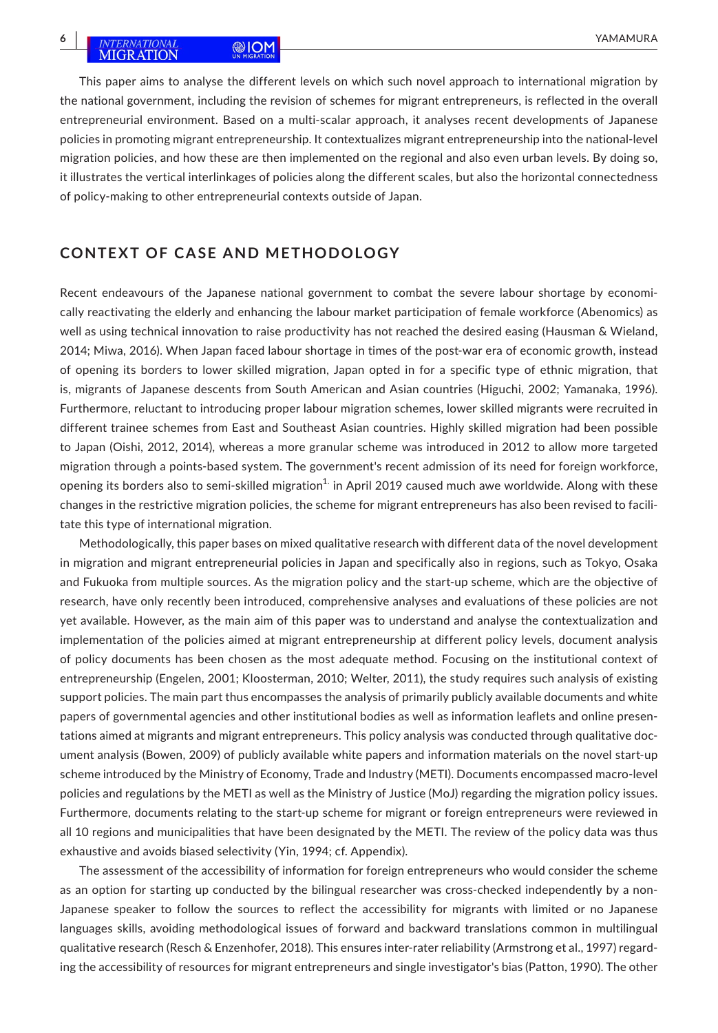## **6 INTERNATIONAL** ANIOM **EXAMPLE AND A SERVER AND RESERVE AND RESERVE AND RESERVE AND RESERVE AND RESERVE AND RESERVE AND RESERVE AND RESERVE AND RESERVE AND RESERVE A SERVER AND RESERVE A SERVER AND RESERVE A SERVER AND**

This paper aims to analyse the different levels on which such novel approach to international migration by the national government, including the revision of schemes for migrant entrepreneurs, is reflected in the overall entrepreneurial environment. Based on a multi-scalar approach, it analyses recent developments of Japanese policies in promoting migrant entrepreneurship. It contextualizes migrant entrepreneurship into the national-level migration policies, and how these are then implemented on the regional and also even urban levels. By doing so, it illustrates the vertical interlinkages of policies along the different scales, but also the horizontal connectedness of policy-making to other entrepreneurial contexts outside of Japan.

## **CONTEXT OF CASE AND METHODOLOGY**

Recent endeavours of the Japanese national government to combat the severe labour shortage by economically reactivating the elderly and enhancing the labour market participation of female workforce (Abenomics) as well as using technical innovation to raise productivity has not reached the desired easing (Hausman & Wieland, 2014; Miwa, 2016). When Japan faced labour shortage in times of the post-war era of economic growth, instead of opening its borders to lower skilled migration, Japan opted in for a specific type of ethnic migration, that is, migrants of Japanese descents from South American and Asian countries (Higuchi, 2002; Yamanaka, 1996). Furthermore, reluctant to introducing proper labour migration schemes, lower skilled migrants were recruited in different trainee schemes from East and Southeast Asian countries. Highly skilled migration had been possible to Japan (Oishi, 2012, 2014), whereas a more granular scheme was introduced in 2012 to allow more targeted migration through a points-based system. The government's recent admission of its need for foreign workforce, opening its borders also to semi-skilled migration $1$  in April 2019 caused much awe worldwide. Along with these changes in the restrictive migration policies, the scheme for migrant entrepreneurs has also been revised to facilitate this type of international migration.

Methodologically, this paper bases on mixed qualitative research with different data of the novel development in migration and migrant entrepreneurial policies in Japan and specifically also in regions, such as Tokyo, Osaka and Fukuoka from multiple sources. As the migration policy and the start-up scheme, which are the objective of research, have only recently been introduced, comprehensive analyses and evaluations of these policies are not yet available. However, as the main aim of this paper was to understand and analyse the contextualization and implementation of the policies aimed at migrant entrepreneurship at different policy levels, document analysis of policy documents has been chosen as the most adequate method. Focusing on the institutional context of entrepreneurship (Engelen, 2001; Kloosterman, 2010; Welter, 2011), the study requires such analysis of existing support policies. The main part thus encompasses the analysis of primarily publicly available documents and white papers of governmental agencies and other institutional bodies as well as information leaflets and online presentations aimed at migrants and migrant entrepreneurs. This policy analysis was conducted through qualitative document analysis (Bowen, 2009) of publicly available white papers and information materials on the novel start-up scheme introduced by the Ministry of Economy, Trade and Industry (METI). Documents encompassed macro-level policies and regulations by the METI as well as the Ministry of Justice (MoJ) regarding the migration policy issues. Furthermore, documents relating to the start-up scheme for migrant or foreign entrepreneurs were reviewed in all 10 regions and municipalities that have been designated by the METI. The review of the policy data was thus exhaustive and avoids biased selectivity (Yin, 1994; cf. Appendix).

The assessment of the accessibility of information for foreign entrepreneurs who would consider the scheme as an option for starting up conducted by the bilingual researcher was cross-checked independently by a non-Japanese speaker to follow the sources to reflect the accessibility for migrants with limited or no Japanese languages skills, avoiding methodological issues of forward and backward translations common in multilingual qualitative research (Resch & Enzenhofer, 2018). This ensures inter-rater reliability (Armstrong et al., 1997) regarding the accessibility of resources for migrant entrepreneurs and single investigator's bias (Patton, 1990). The other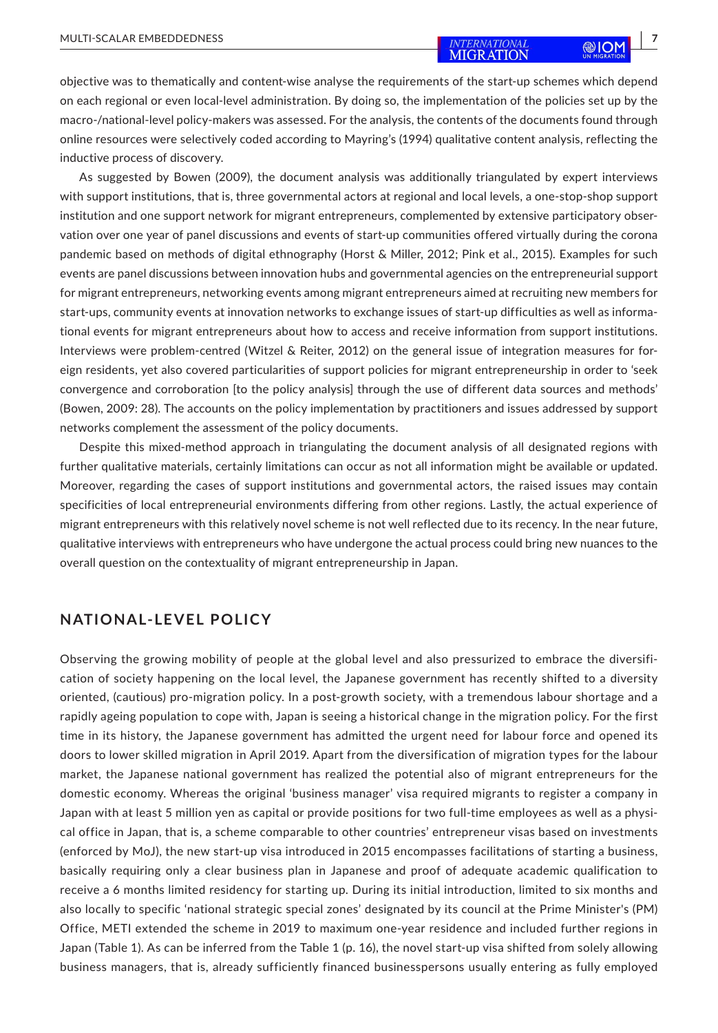objective was to thematically and content-wise analyse the requirements of the start-up schemes which depend on each regional or even local-level administration. By doing so, the implementation of the policies set up by the macro-/national-level policy-makers was assessed. For the analysis, the contents of the documents found through online resources were selectively coded according to Mayring's (1994) qualitative content analysis, reflecting the inductive process of discovery.

As suggested by Bowen (2009), the document analysis was additionally triangulated by expert interviews with support institutions, that is, three governmental actors at regional and local levels, a one-stop-shop support institution and one support network for migrant entrepreneurs, complemented by extensive participatory observation over one year of panel discussions and events of start-up communities offered virtually during the corona pandemic based on methods of digital ethnography (Horst & Miller, 2012; Pink et al., 2015). Examples for such events are panel discussions between innovation hubs and governmental agencies on the entrepreneurial support for migrant entrepreneurs, networking events among migrant entrepreneurs aimed at recruiting new members for start-ups, community events at innovation networks to exchange issues of start-up difficulties as well as informational events for migrant entrepreneurs about how to access and receive information from support institutions. Interviews were problem-centred (Witzel & Reiter, 2012) on the general issue of integration measures for foreign residents, yet also covered particularities of support policies for migrant entrepreneurship in order to 'seek convergence and corroboration [to the policy analysis] through the use of different data sources and methods' (Bowen, 2009: 28). The accounts on the policy implementation by practitioners and issues addressed by support networks complement the assessment of the policy documents.

Despite this mixed-method approach in triangulating the document analysis of all designated regions with further qualitative materials, certainly limitations can occur as not all information might be available or updated. Moreover, regarding the cases of support institutions and governmental actors, the raised issues may contain specificities of local entrepreneurial environments differing from other regions. Lastly, the actual experience of migrant entrepreneurs with this relatively novel scheme is not well reflected due to its recency. In the near future, qualitative interviews with entrepreneurs who have undergone the actual process could bring new nuances to the overall question on the contextuality of migrant entrepreneurship in Japan.

### **NATIONAL-LEVEL POLICY**

Observing the growing mobility of people at the global level and also pressurized to embrace the diversification of society happening on the local level, the Japanese government has recently shifted to a diversity oriented, (cautious) pro-migration policy. In a post-growth society, with a tremendous labour shortage and a rapidly ageing population to cope with, Japan is seeing a historical change in the migration policy. For the first time in its history, the Japanese government has admitted the urgent need for labour force and opened its doors to lower skilled migration in April 2019. Apart from the diversification of migration types for the labour market, the Japanese national government has realized the potential also of migrant entrepreneurs for the domestic economy. Whereas the original 'business manager' visa required migrants to register a company in Japan with at least 5 million yen as capital or provide positions for two full-time employees as well as a physical office in Japan, that is, a scheme comparable to other countries' entrepreneur visas based on investments (enforced by MoJ), the new start-up visa introduced in 2015 encompasses facilitations of starting a business, basically requiring only a clear business plan in Japanese and proof of adequate academic qualification to receive a 6 months limited residency for starting up. During its initial introduction, limited to six months and also locally to specific 'national strategic special zones' designated by its council at the Prime Minister's (PM) Office, METI extended the scheme in 2019 to maximum one-year residence and included further regions in Japan (Table 1). As can be inferred from the Table 1 (p. 16), the novel start-up visa shifted from solely allowing business managers, that is, already sufficiently financed businesspersons usually entering as fully employed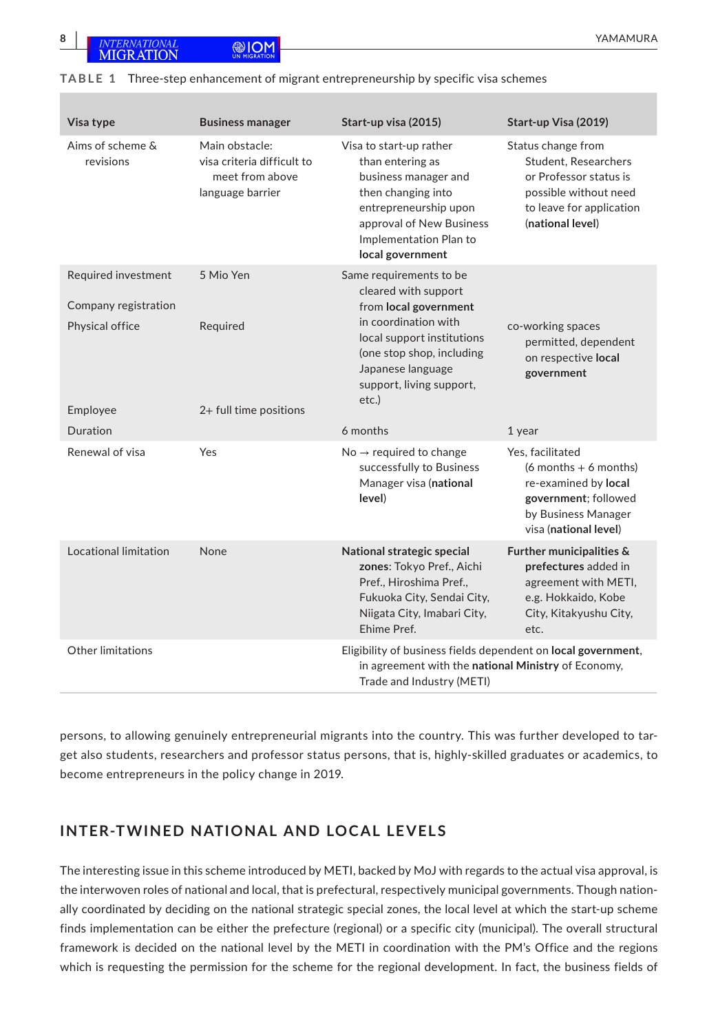| Visa type                                                      | <b>Business manager</b>                                                             | Start-up visa (2015)                                                                                                                                                                                                  | Start-up Visa (2019)                                                                                                                                 |
|----------------------------------------------------------------|-------------------------------------------------------------------------------------|-----------------------------------------------------------------------------------------------------------------------------------------------------------------------------------------------------------------------|------------------------------------------------------------------------------------------------------------------------------------------------------|
| Aims of scheme &<br>revisions                                  | Main obstacle:<br>visa criteria difficult to<br>meet from above<br>language barrier | Visa to start-up rather<br>than entering as<br>business manager and<br>then changing into<br>entrepreneurship upon<br>approval of New Business<br>Implementation Plan to<br>local government                          | Status change from<br><b>Student, Researchers</b><br>or Professor status is<br>possible without need<br>to leave for application<br>(national level) |
| Required investment<br>Company registration<br>Physical office | 5 Mio Yen<br>Required                                                               | Same requirements to be<br>cleared with support<br>from local government<br>in coordination with<br>local support institutions<br>(one stop shop, including<br>Japanese language<br>support, living support,<br>etc.) | co-working spaces<br>permitted, dependent<br>on respective local<br>government                                                                       |
| Employee<br>Duration                                           | 2+ full time positions                                                              | 6 months                                                                                                                                                                                                              | 1 year                                                                                                                                               |
| Renewal of visa                                                | Yes                                                                                 | $No \rightarrow required$ to change<br>successfully to Business<br>Manager visa (national<br>level)                                                                                                                   | Yes, facilitated<br>$(6$ months + 6 months)<br>re-examined by local<br>government; followed<br>by Business Manager<br>visa (national level)          |
| Locational limitation                                          | None                                                                                | National strategic special<br>zones: Tokyo Pref., Aichi<br>Pref., Hiroshima Pref.,<br>Fukuoka City, Sendai City,<br>Niigata City, Imabari City,<br>Ehime Pref.                                                        | Further municipalities &<br>prefectures added in<br>agreement with METI,<br>e.g. Hokkaido, Kobe<br>City, Kitakyushu City,<br>etc.                    |
| Other limitations                                              |                                                                                     | Eligibility of business fields dependent on local government,<br>in agreement with the national Ministry of Economy,<br>Trade and Industry (METI)                                                                     |                                                                                                                                                      |

#### **TABLE 1** Three-step enhancement of migrant entrepreneurship by specific visa schemes

persons, to allowing genuinely entrepreneurial migrants into the country. This was further developed to target also students, researchers and professor status persons, that is, highly-skilled graduates or academics, to become entrepreneurs in the policy change in 2019.

## **INTER-TWINED NATIONAL AND LOCAL LEVELS**

The interesting issue in this scheme introduced by METI, backed by MoJ with regards to the actual visa approval, is the interwoven roles of national and local, that is prefectural, respectively municipal governments. Though nationally coordinated by deciding on the national strategic special zones, the local level at which the start-up scheme finds implementation can be either the prefecture (regional) or a specific city (municipal). The overall structural framework is decided on the national level by the METI in coordination with the PM's Office and the regions which is requesting the permission for the scheme for the regional development. In fact, the business fields of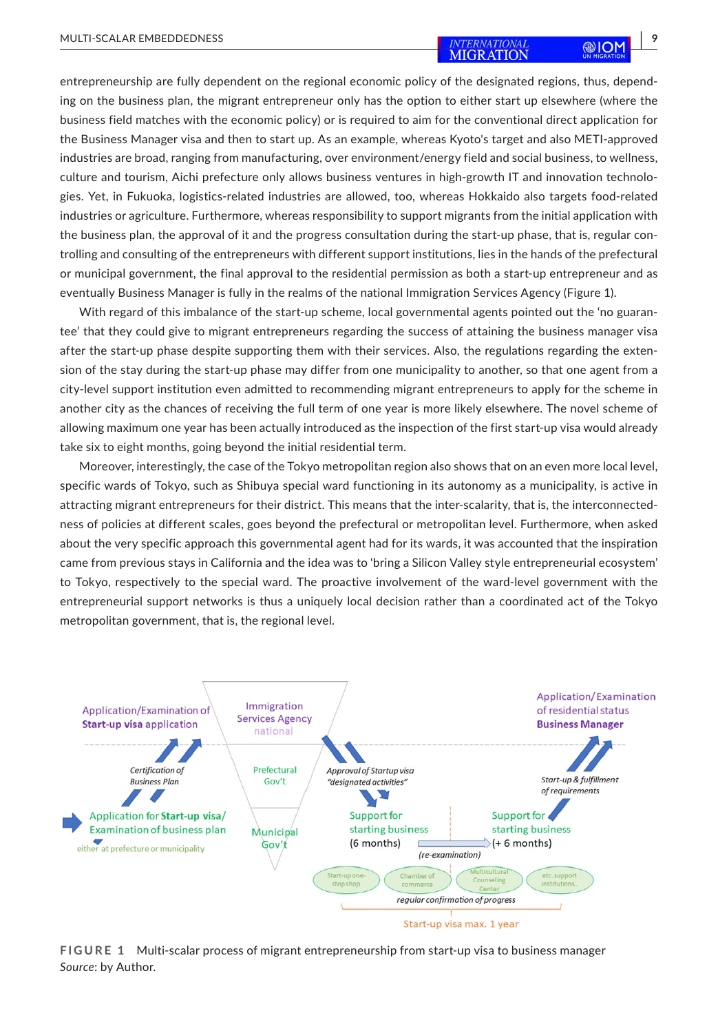entrepreneurship are fully dependent on the regional economic policy of the designated regions, thus, depending on the business plan, the migrant entrepreneur only has the option to either start up elsewhere (where the business field matches with the economic policy) or is required to aim for the conventional direct application for the Business Manager visa and then to start up. As an example, whereas Kyoto's target and also METI-approved industries are broad, ranging from manufacturing, over environment/energy field and social business, to wellness, culture and tourism, Aichi prefecture only allows business ventures in high-growth IT and innovation technologies. Yet, in Fukuoka, logistics-related industries are allowed, too, whereas Hokkaido also targets food-related industries or agriculture. Furthermore, whereas responsibility to support migrants from the initial application with the business plan, the approval of it and the progress consultation during the start-up phase, that is, regular controlling and consulting of the entrepreneurs with different support institutions, lies in the hands of the prefectural or municipal government, the final approval to the residential permission as both a start-up entrepreneur and as eventually Business Manager is fully in the realms of the national Immigration Services Agency (Figure 1).

With regard of this imbalance of the start-up scheme, local governmental agents pointed out the 'no guarantee' that they could give to migrant entrepreneurs regarding the success of attaining the business manager visa after the start-up phase despite supporting them with their services. Also, the regulations regarding the extension of the stay during the start-up phase may differ from one municipality to another, so that one agent from a city-level support institution even admitted to recommending migrant entrepreneurs to apply for the scheme in another city as the chances of receiving the full term of one year is more likely elsewhere. The novel scheme of allowing maximum one year has been actually introduced as the inspection of the first start-up visa would already take six to eight months, going beyond the initial residential term.

Moreover, interestingly, the case of the Tokyo metropolitan region also shows that on an even more local level, specific wards of Tokyo, such as Shibuya special ward functioning in its autonomy as a municipality, is active in attracting migrant entrepreneurs for their district. This means that the inter-scalarity, that is, the interconnectedness of policies at different scales, goes beyond the prefectural or metropolitan level. Furthermore, when asked about the very specific approach this governmental agent had for its wards, it was accounted that the inspiration came from previous stays in California and the idea was to 'bring a Silicon Valley style entrepreneurial ecosystem' to Tokyo, respectively to the special ward. The proactive involvement of the ward-level government with the entrepreneurial support networks is thus a uniquely local decision rather than a coordinated act of the Tokyo metropolitan government, that is, the regional level.



**FIGURE 1** Multi-scalar process of migrant entrepreneurship from start-up visa to business manager *Source*: by Author.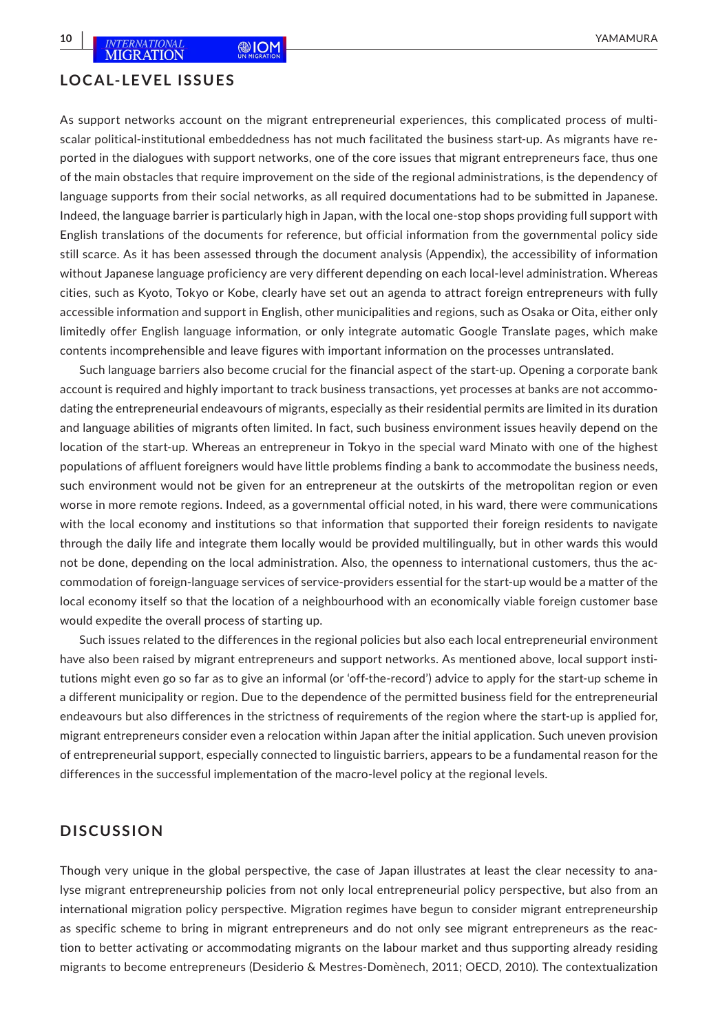#### **LOCAL-LEVEL ISSUES**

As support networks account on the migrant entrepreneurial experiences, this complicated process of multiscalar political-institutional embeddedness has not much facilitated the business start-up. As migrants have reported in the dialogues with support networks, one of the core issues that migrant entrepreneurs face, thus one of the main obstacles that require improvement on the side of the regional administrations, is the dependency of language supports from their social networks, as all required documentations had to be submitted in Japanese. Indeed, the language barrier is particularly high in Japan, with the local one-stop shops providing full support with English translations of the documents for reference, but official information from the governmental policy side still scarce. As it has been assessed through the document analysis (Appendix), the accessibility of information without Japanese language proficiency are very different depending on each local-level administration. Whereas cities, such as Kyoto, Tokyo or Kobe, clearly have set out an agenda to attract foreign entrepreneurs with fully accessible information and support in English, other municipalities and regions, such as Osaka or Oita, either only limitedly offer English language information, or only integrate automatic Google Translate pages, which make contents incomprehensible and leave figures with important information on the processes untranslated.

Such language barriers also become crucial for the financial aspect of the start-up. Opening a corporate bank account is required and highly important to track business transactions, yet processes at banks are not accommodating the entrepreneurial endeavours of migrants, especially as their residential permits are limited in its duration and language abilities of migrants often limited. In fact, such business environment issues heavily depend on the location of the start-up. Whereas an entrepreneur in Tokyo in the special ward Minato with one of the highest populations of affluent foreigners would have little problems finding a bank to accommodate the business needs, such environment would not be given for an entrepreneur at the outskirts of the metropolitan region or even worse in more remote regions. Indeed, as a governmental official noted, in his ward, there were communications with the local economy and institutions so that information that supported their foreign residents to navigate through the daily life and integrate them locally would be provided multilingually, but in other wards this would not be done, depending on the local administration. Also, the openness to international customers, thus the accommodation of foreign-language services of service-providers essential for the start-up would be a matter of the local economy itself so that the location of a neighbourhood with an economically viable foreign customer base would expedite the overall process of starting up.

Such issues related to the differences in the regional policies but also each local entrepreneurial environment have also been raised by migrant entrepreneurs and support networks. As mentioned above, local support institutions might even go so far as to give an informal (or 'off-the-record') advice to apply for the start-up scheme in a different municipality or region. Due to the dependence of the permitted business field for the entrepreneurial endeavours but also differences in the strictness of requirements of the region where the start-up is applied for, migrant entrepreneurs consider even a relocation within Japan after the initial application. Such uneven provision of entrepreneurial support, especially connected to linguistic barriers, appears to be a fundamental reason for the differences in the successful implementation of the macro-level policy at the regional levels.

## **DISCUSSION**

Though very unique in the global perspective, the case of Japan illustrates at least the clear necessity to analyse migrant entrepreneurship policies from not only local entrepreneurial policy perspective, but also from an international migration policy perspective. Migration regimes have begun to consider migrant entrepreneurship as specific scheme to bring in migrant entrepreneurs and do not only see migrant entrepreneurs as the reaction to better activating or accommodating migrants on the labour market and thus supporting already residing migrants to become entrepreneurs (Desiderio & Mestres-Domènech, 2011; OECD, 2010). The contextualization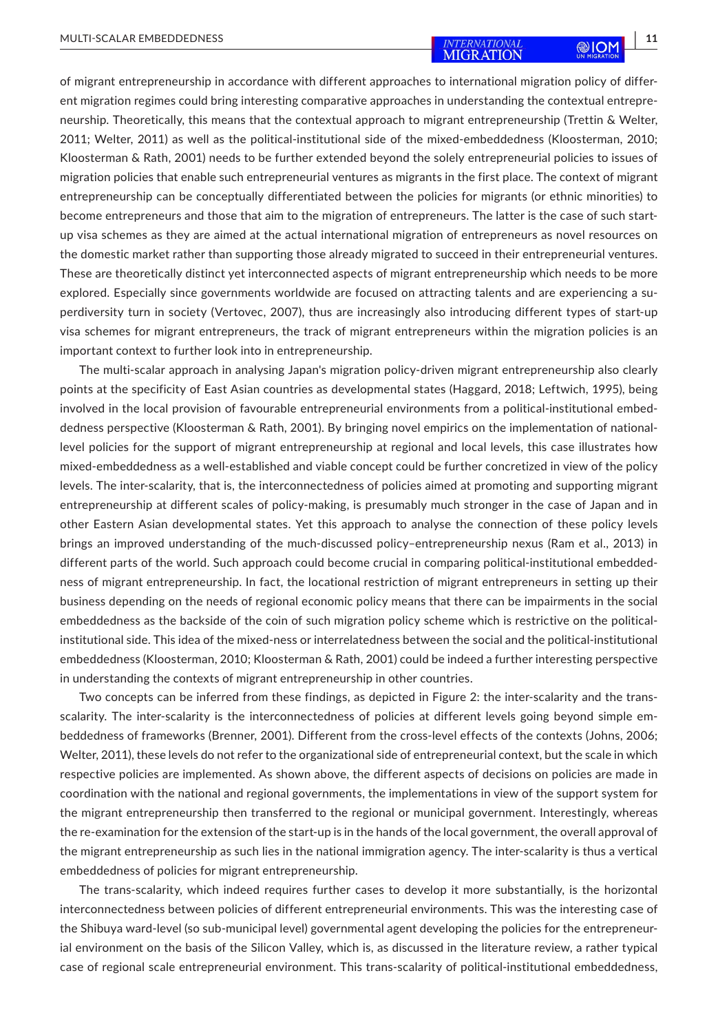of migrant entrepreneurship in accordance with different approaches to international migration policy of different migration regimes could bring interesting comparative approaches in understanding the contextual entrepreneurship. Theoretically, this means that the contextual approach to migrant entrepreneurship (Trettin & Welter, 2011; Welter, 2011) as well as the political-institutional side of the mixed-embeddedness (Kloosterman, 2010; Kloosterman & Rath, 2001) needs to be further extended beyond the solely entrepreneurial policies to issues of migration policies that enable such entrepreneurial ventures as migrants in the first place. The context of migrant entrepreneurship can be conceptually differentiated between the policies for migrants (or ethnic minorities) to become entrepreneurs and those that aim to the migration of entrepreneurs. The latter is the case of such startup visa schemes as they are aimed at the actual international migration of entrepreneurs as novel resources on the domestic market rather than supporting those already migrated to succeed in their entrepreneurial ventures. These are theoretically distinct yet interconnected aspects of migrant entrepreneurship which needs to be more explored. Especially since governments worldwide are focused on attracting talents and are experiencing a superdiversity turn in society (Vertovec, 2007), thus are increasingly also introducing different types of start-up visa schemes for migrant entrepreneurs, the track of migrant entrepreneurs within the migration policies is an important context to further look into in entrepreneurship.

The multi-scalar approach in analysing Japan's migration policy-driven migrant entrepreneurship also clearly points at the specificity of East Asian countries as developmental states (Haggard, 2018; Leftwich, 1995), being involved in the local provision of favourable entrepreneurial environments from a political-institutional embeddedness perspective (Kloosterman & Rath, 2001). By bringing novel empirics on the implementation of nationallevel policies for the support of migrant entrepreneurship at regional and local levels, this case illustrates how mixed-embeddedness as a well-established and viable concept could be further concretized in view of the policy levels. The inter-scalarity, that is, the interconnectedness of policies aimed at promoting and supporting migrant entrepreneurship at different scales of policy-making, is presumably much stronger in the case of Japan and in other Eastern Asian developmental states. Yet this approach to analyse the connection of these policy levels brings an improved understanding of the much-discussed policy–entrepreneurship nexus (Ram et al., 2013) in different parts of the world. Such approach could become crucial in comparing political-institutional embeddedness of migrant entrepreneurship. In fact, the locational restriction of migrant entrepreneurs in setting up their business depending on the needs of regional economic policy means that there can be impairments in the social embeddedness as the backside of the coin of such migration policy scheme which is restrictive on the politicalinstitutional side. This idea of the mixed-ness or interrelatedness between the social and the political-institutional embeddedness (Kloosterman, 2010; Kloosterman & Rath, 2001) could be indeed a further interesting perspective in understanding the contexts of migrant entrepreneurship in other countries.

Two concepts can be inferred from these findings, as depicted in Figure 2: the inter-scalarity and the transscalarity. The inter-scalarity is the interconnectedness of policies at different levels going beyond simple embeddedness of frameworks (Brenner, 2001). Different from the cross-level effects of the contexts (Johns, 2006; Welter, 2011), these levels do not refer to the organizational side of entrepreneurial context, but the scale in which respective policies are implemented. As shown above, the different aspects of decisions on policies are made in coordination with the national and regional governments, the implementations in view of the support system for the migrant entrepreneurship then transferred to the regional or municipal government. Interestingly, whereas the re-examination for the extension of the start-up is in the hands of the local government, the overall approval of the migrant entrepreneurship as such lies in the national immigration agency. The inter-scalarity is thus a vertical embeddedness of policies for migrant entrepreneurship.

The trans-scalarity, which indeed requires further cases to develop it more substantially, is the horizontal interconnectedness between policies of different entrepreneurial environments. This was the interesting case of the Shibuya ward-level (so sub-municipal level) governmental agent developing the policies for the entrepreneurial environment on the basis of the Silicon Valley, which is, as discussed in the literature review, a rather typical case of regional scale entrepreneurial environment. This trans-scalarity of political-institutional embeddedness,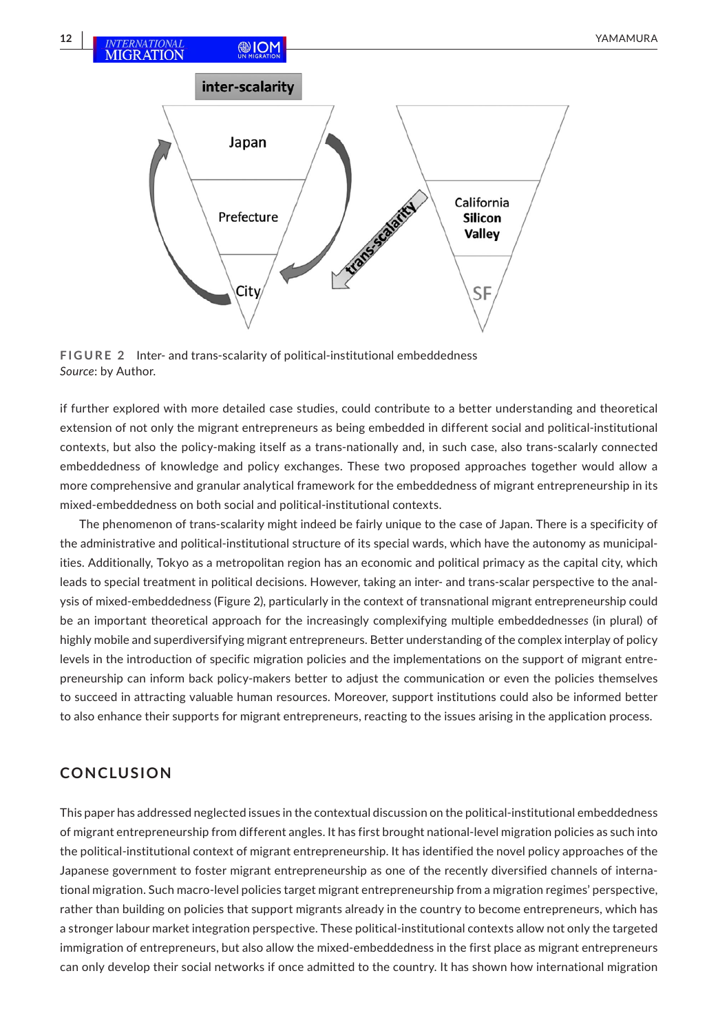California

Silicon **Valley** 

SF

**FIGURE 2** Inter- and trans-scalarity of political-institutional embeddedness *Source*: by Author.

Prefecture

City

if further explored with more detailed case studies, could contribute to a better understanding and theoretical extension of not only the migrant entrepreneurs as being embedded in different social and political-institutional contexts, but also the policy-making itself as a trans-nationally and, in such case, also trans-scalarly connected embeddedness of knowledge and policy exchanges. These two proposed approaches together would allow a more comprehensive and granular analytical framework for the embeddedness of migrant entrepreneurship in its mixed-embeddedness on both social and political-institutional contexts.

The phenomenon of trans-scalarity might indeed be fairly unique to the case of Japan. There is a specificity of the administrative and political-institutional structure of its special wards, which have the autonomy as municipalities. Additionally, Tokyo as a metropolitan region has an economic and political primacy as the capital city, which leads to special treatment in political decisions. However, taking an inter- and trans-scalar perspective to the analysis of mixed-embeddedness (Figure 2), particularly in the context of transnational migrant entrepreneurship could be an important theoretical approach for the increasingly complexifying multiple embeddedness*es* (in plural) of highly mobile and superdiversifying migrant entrepreneurs. Better understanding of the complex interplay of policy levels in the introduction of specific migration policies and the implementations on the support of migrant entrepreneurship can inform back policy-makers better to adjust the communication or even the policies themselves to succeed in attracting valuable human resources. Moreover, support institutions could also be informed better to also enhance their supports for migrant entrepreneurs, reacting to the issues arising in the application process.

## **CONCLUSION**

This paper has addressed neglected issues in the contextual discussion on the political-institutional embeddedness of migrant entrepreneurship from different angles. It has first brought national-level migration policies as such into the political-institutional context of migrant entrepreneurship. It has identified the novel policy approaches of the Japanese government to foster migrant entrepreneurship as one of the recently diversified channels of international migration. Such macro-level policies target migrant entrepreneurship from a migration regimes' perspective, rather than building on policies that support migrants already in the country to become entrepreneurs, which has a stronger labour market integration perspective. These political-institutional contexts allow not only the targeted immigration of entrepreneurs, but also allow the mixed-embeddedness in the first place as migrant entrepreneurs can only develop their social networks if once admitted to the country. It has shown how international migration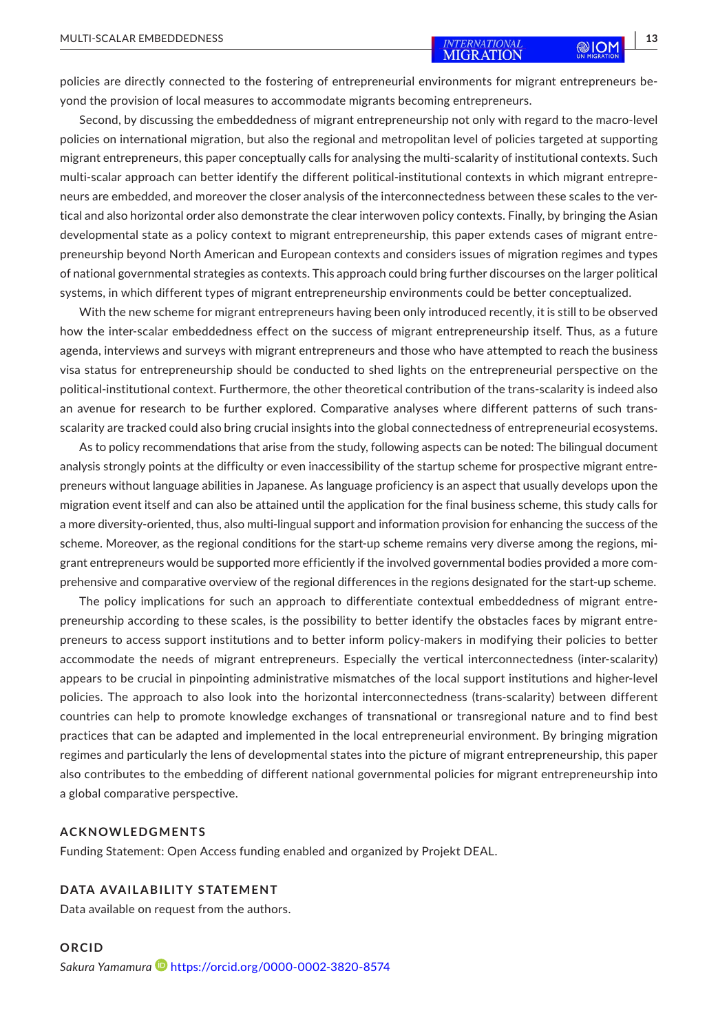policies are directly connected to the fostering of entrepreneurial environments for migrant entrepreneurs beyond the provision of local measures to accommodate migrants becoming entrepreneurs.

Second, by discussing the embeddedness of migrant entrepreneurship not only with regard to the macro-level policies on international migration, but also the regional and metropolitan level of policies targeted at supporting migrant entrepreneurs, this paper conceptually calls for analysing the multi-scalarity of institutional contexts. Such multi-scalar approach can better identify the different political-institutional contexts in which migrant entrepreneurs are embedded, and moreover the closer analysis of the interconnectedness between these scales to the vertical and also horizontal order also demonstrate the clear interwoven policy contexts. Finally, by bringing the Asian developmental state as a policy context to migrant entrepreneurship, this paper extends cases of migrant entrepreneurship beyond North American and European contexts and considers issues of migration regimes and types of national governmental strategies as contexts. This approach could bring further discourses on the larger political systems, in which different types of migrant entrepreneurship environments could be better conceptualized.

With the new scheme for migrant entrepreneurs having been only introduced recently, it is still to be observed how the inter-scalar embeddedness effect on the success of migrant entrepreneurship itself. Thus, as a future agenda, interviews and surveys with migrant entrepreneurs and those who have attempted to reach the business visa status for entrepreneurship should be conducted to shed lights on the entrepreneurial perspective on the political-institutional context. Furthermore, the other theoretical contribution of the trans-scalarity is indeed also an avenue for research to be further explored. Comparative analyses where different patterns of such transscalarity are tracked could also bring crucial insights into the global connectedness of entrepreneurial ecosystems.

As to policy recommendations that arise from the study, following aspects can be noted: The bilingual document analysis strongly points at the difficulty or even inaccessibility of the startup scheme for prospective migrant entrepreneurs without language abilities in Japanese. As language proficiency is an aspect that usually develops upon the migration event itself and can also be attained until the application for the final business scheme, this study calls for a more diversity-oriented, thus, also multi-lingual support and information provision for enhancing the success of the scheme. Moreover, as the regional conditions for the start-up scheme remains very diverse among the regions, migrant entrepreneurs would be supported more efficiently if the involved governmental bodies provided a more comprehensive and comparative overview of the regional differences in the regions designated for the start-up scheme.

The policy implications for such an approach to differentiate contextual embeddedness of migrant entrepreneurship according to these scales, is the possibility to better identify the obstacles faces by migrant entrepreneurs to access support institutions and to better inform policy-makers in modifying their policies to better accommodate the needs of migrant entrepreneurs. Especially the vertical interconnectedness (inter-scalarity) appears to be crucial in pinpointing administrative mismatches of the local support institutions and higher-level policies. The approach to also look into the horizontal interconnectedness (trans-scalarity) between different countries can help to promote knowledge exchanges of transnational or transregional nature and to find best practices that can be adapted and implemented in the local entrepreneurial environment. By bringing migration regimes and particularly the lens of developmental states into the picture of migrant entrepreneurship, this paper also contributes to the embedding of different national governmental policies for migrant entrepreneurship into a global comparative perspective.

#### **ACKNOWLEDGMENTS**

Funding Statement: Open Access funding enabled and organized by Projekt DEAL.

### **DATA AVAILABILITY STATEMENT**

Data available on request from the authors.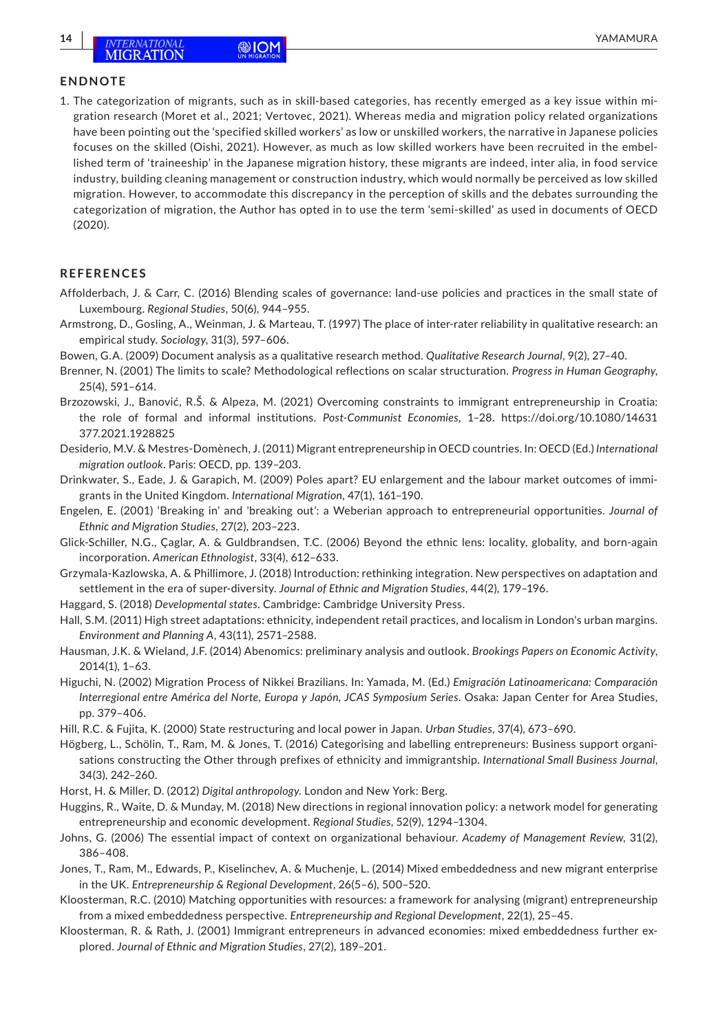#### **ENDNOTE**

1. The categorization of migrants, such as in skill-based categories, has recently emerged as a key issue within migration research (Moret et al., 2021; Vertovec, 2021). Whereas media and migration policy related organizations have been pointing out the 'specified skilled workers' as low or unskilled workers, the narrative in Japanese policies focuses on the skilled (Oishi, 2021). However, as much as low skilled workers have been recruited in the embellished term of 'traineeship' in the Japanese migration history, these migrants are indeed, inter alia, in food service industry, building cleaning management or construction industry, which would normally be perceived as low skilled migration. However, to accommodate this discrepancy in the perception of skills and the debates surrounding the categorization of migration, the Author has opted in to use the term 'semi-skilled' as used in documents of OECD (2020).

#### **REFERENCES**

- Affolderbach, J. & Carr, C. (2016) Blending scales of governance: land-use policies and practices in the small state of Luxembourg. *Regional Studies*, 50(6), 944–955.
- Armstrong, D., Gosling, A., Weinman, J. & Marteau, T. (1997) The place of inter-rater reliability in qualitative research: an empirical study. *Sociology*, 31(3), 597–606.
- Bowen, G.A. (2009) Document analysis as a qualitative research method. *Qualitative Research Journal*, 9(2), 27–40.
- Brenner, N. (2001) The limits to scale? Methodological reflections on scalar structuration. *Progress in Human Geography*, 25(4), 591–614.
- Brzozowski, J., Banović, R.Š. & Alpeza, M. (2021) Overcoming constraints to immigrant entrepreneurship in Croatia: the role of formal and informal institutions. *Post-Communist Economies*, 1–28. [https://doi.org/10.1080/14631](https://doi.org/10.1080/14631377.2021.1928825) [377.2021.1928825](https://doi.org/10.1080/14631377.2021.1928825)
- Desiderio, M.V. & Mestres-Domènech, J. (2011) Migrant entrepreneurship in OECD countries. In: OECD (Ed.) *International migration outlook*. Paris: OECD, pp. 139–203.
- Drinkwater, S., Eade, J. & Garapich, M. (2009) Poles apart? EU enlargement and the labour market outcomes of immigrants in the United Kingdom. *International Migration*, 47(1), 161–190.
- Engelen, E. (2001) 'Breaking in' and 'breaking out': a Weberian approach to entrepreneurial opportunities. *Journal of Ethnic and Migration Studies*, 27(2), 203–223.
- Glick-Schiller, N.G., Çaglar, A. & Guldbrandsen, T.C. (2006) Beyond the ethnic lens: locality, globality, and born-again incorporation. *American Ethnologist*, 33(4), 612–633.
- Grzymala-Kazlowska, A. & Phillimore, J. (2018) Introduction: rethinking integration. New perspectives on adaptation and settlement in the era of super-diversity. *Journal of Ethnic and Migration Studies*, 44(2), 179–196.
- Haggard, S. (2018) *Developmental states*. Cambridge: Cambridge University Press.
- Hall, S.M. (2011) High street adaptations: ethnicity, independent retail practices, and localism in London's urban margins. *Environment and Planning A*, 43(11), 2571–2588.
- Hausman, J.K. & Wieland, J.F. (2014) Abenomics: preliminary analysis and outlook. *Brookings Papers on Economic Activity*, 2014(1), 1–63.
- Higuchi, N. (2002) Migration Process of Nikkei Brazilians. In: Yamada, M. (Ed.) *Emigración Latinoamericana: Comparación Interregional entre América del Norte, Europa y Japón, JCAS Symposium Series*. Osaka: Japan Center for Area Studies, pp. 379–406.
- Hill, R.C. & Fujita, K. (2000) State restructuring and local power in Japan. *Urban Studies*, 37(4), 673–690.
- Högberg, L., Schölin, T., Ram, M. & Jones, T. (2016) Categorising and labelling entrepreneurs: Business support organisations constructing the Other through prefixes of ethnicity and immigrantship. *International Small Business Journal*, 34(3), 242–260.
- Horst, H. & Miller, D. (2012) *Digital anthropology*. London and New York: Berg.
- Huggins, R., Waite, D. & Munday, M. (2018) New directions in regional innovation policy: a network model for generating entrepreneurship and economic development. *Regional Studies*, 52(9), 1294–1304.
- Johns, G. (2006) The essential impact of context on organizational behaviour. *Academy of Management Review*, 31(2), 386–408.
- Jones, T., Ram, M., Edwards, P., Kiselinchev, A. & Muchenje, L. (2014) Mixed embeddedness and new migrant enterprise in the UK. *Entrepreneurship & Regional Development*, 26(5–6), 500–520.
- Kloosterman, R.C. (2010) Matching opportunities with resources: a framework for analysing (migrant) entrepreneurship from a mixed embeddedness perspective. *Entrepreneurship and Regional Development*, 22(1), 25–45.
- Kloosterman, R. & Rath, J. (2001) Immigrant entrepreneurs in advanced economies: mixed embeddedness further explored. *Journal of Ethnic and Migration Studies*, 27(2), 189–201.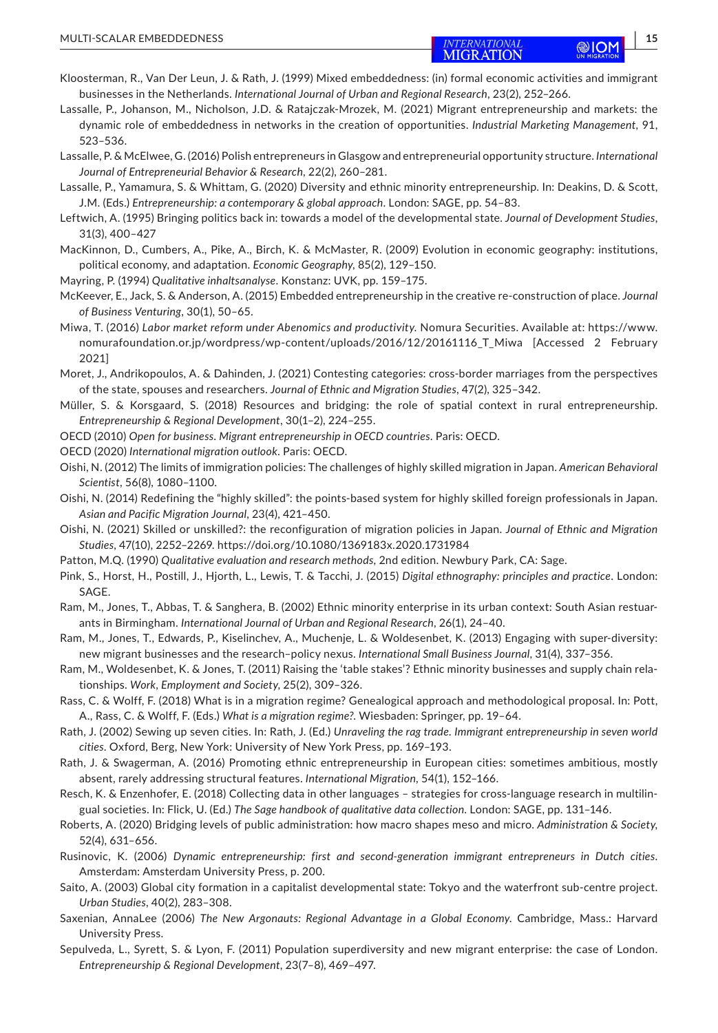- Kloosterman, R., Van Der Leun, J. & Rath, J. (1999) Mixed embeddedness: (in) formal economic activities and immigrant businesses in the Netherlands. *International Journal of Urban and Regional Research*, 23(2), 252–266.
- Lassalle, P., Johanson, M., Nicholson, J.D. & Ratajczak-Mrozek, M. (2021) Migrant entrepreneurship and markets: the dynamic role of embeddedness in networks in the creation of opportunities. *Industrial Marketing Management*, 91, 523–536.
- Lassalle, P. & McElwee, G. (2016) Polish entrepreneurs in Glasgow and entrepreneurial opportunity structure. *International Journal of Entrepreneurial Behavior & Research*, 22(2), 260–281.
- Lassalle, P., Yamamura, S. & Whittam, G. (2020) Diversity and ethnic minority entrepreneurship. In: Deakins, D. & Scott, J.M. (Eds.) *Entrepreneurship: a contemporary & global approach*. London: SAGE, pp. 54–83.
- Leftwich, A. (1995) Bringing politics back in: towards a model of the developmental state. *Journal of Development Studies*, 31(3), 400–427
- MacKinnon, D., Cumbers, A., Pike, A., Birch, K. & McMaster, R. (2009) Evolution in economic geography: institutions, political economy, and adaptation. *Economic Geography*, 85(2), 129–150.
- Mayring, P. (1994) *Qualitative inhaltsanalyse*. Konstanz: UVK, pp. 159–175.
- McKeever, E., Jack, S. & Anderson, A. (2015) Embedded entrepreneurship in the creative re-construction of place. *Journal of Business Venturing*, 30(1), 50–65.
- Miwa, T. (2016) *Labor market reform under Abenomics and productivity*. Nomura Securities. Available at: [https://www.](https://www.nomurafoundation.or.jp/wordpress/wp-content/uploads/2016/12/20161116_T_Miwa) nomurafoundation.or.jp/wordpress/wp-content/uploads/2016/12/20161116 T\_Miwa [Accessed 2 February 2021]
- Moret, J., Andrikopoulos, A. & Dahinden, J. (2021) Contesting categories: cross-border marriages from the perspectives of the state, spouses and researchers. *Journal of Ethnic and Migration Studies*, 47(2), 325–342.
- Müller, S. & Korsgaard, S. (2018) Resources and bridging: the role of spatial context in rural entrepreneurship. *Entrepreneurship & Regional Development*, 30(1–2), 224–255.
- OECD (2010) *Open for business. Migrant entrepreneurship in OECD countries*. Paris: OECD.
- OECD (2020) *International migration outlook*. Paris: OECD.
- Oishi, N. (2012) The limits of immigration policies: The challenges of highly skilled migration in Japan. *American Behavioral Scientist*, 56(8), 1080–1100.
- Oishi, N. (2014) Redefining the "highly skilled": the points-based system for highly skilled foreign professionals in Japan. *Asian and Pacific Migration Journal*, 23(4), 421–450.
- Oishi, N. (2021) Skilled or unskilled?: the reconfiguration of migration policies in Japan. *Journal of Ethnic and Migration Studies*, 47(10), 2252–2269. <https://doi.org/10.1080/1369183x.2020.1731984>
- Patton, M.Q. (1990) *Qualitative evaluation and research methods*, 2nd edition. Newbury Park, CA: Sage.
- Pink, S., Horst, H., Postill, J., Hjorth, L., Lewis, T. & Tacchi, J. (2015) *Digital ethnography: principles and practice*. London: SAGE.
- Ram, M., Jones, T., Abbas, T. & Sanghera, B. (2002) Ethnic minority enterprise in its urban context: South Asian restuarants in Birmingham. *International Journal of Urban and Regional Research*, 26(1), 24–40.
- Ram, M., Jones, T., Edwards, P., Kiselinchev, A., Muchenje, L. & Woldesenbet, K. (2013) Engaging with super-diversity: new migrant businesses and the research–policy nexus. *International Small Business Journal*, 31(4), 337–356.
- Ram, M., Woldesenbet, K. & Jones, T. (2011) Raising the 'table stakes'? Ethnic minority businesses and supply chain relationships. *Work, Employment and Society*, 25(2), 309–326.
- Rass, C. & Wolff, F. (2018) What is in a migration regime? Genealogical approach and methodological proposal. In: Pott, A., Rass, C. & Wolff, F. (Eds.) *What is a migration regime?*. Wiesbaden: Springer, pp. 19–64.
- Rath, J. (2002) Sewing up seven cities. In: Rath, J. (Ed.) *Unraveling the rag trade. Immigrant entrepreneurship in seven world cities*. Oxford, Berg, New York: University of New York Press, pp. 169–193.
- Rath, J. & Swagerman, A. (2016) Promoting ethnic entrepreneurship in European cities: sometimes ambitious, mostly absent, rarely addressing structural features. *International Migration*, 54(1), 152–166.
- Resch, K. & Enzenhofer, E. (2018) Collecting data in other languages strategies for cross-language research in multilingual societies. In: Flick, U. (Ed.) *The Sage handbook of qualitative data collection*. London: SAGE, pp. 131–146.
- Roberts, A. (2020) Bridging levels of public administration: how macro shapes meso and micro. *Administration & Society*, 52(4), 631–656.
- Rusinovic, K. (2006) *Dynamic entrepreneurship: first and second-generation immigrant entrepreneurs in Dutch cities*. Amsterdam: Amsterdam University Press, p. 200.
- Saito, A. (2003) Global city formation in a capitalist developmental state: Tokyo and the waterfront sub-centre project. *Urban Studies*, 40(2), 283–308.
- Saxenian, AnnaLee (2006) *The New Argonauts: Regional Advantage in a Global Economy*. Cambridge, Mass.: Harvard University Press.
- Sepulveda, L., Syrett, S. & Lyon, F. (2011) Population superdiversity and new migrant enterprise: the case of London. *Entrepreneurship & Regional Development*, 23(7–8), 469–497.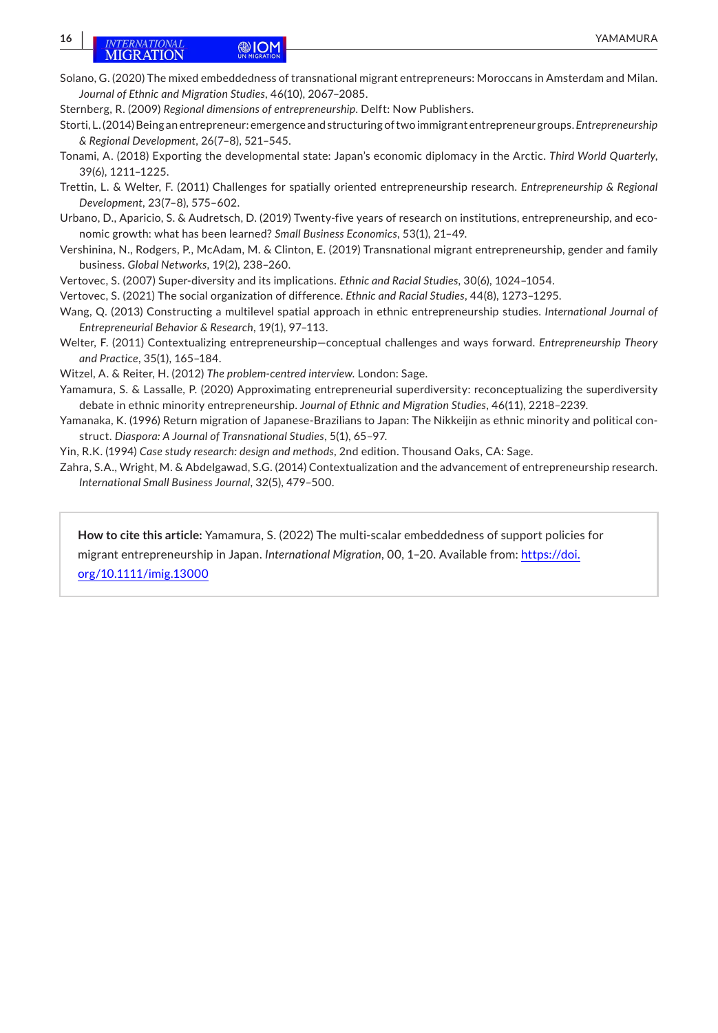## **16 INTERNATIONAL CONFIDENTIAL CONFIDENTIAL CONFIDENTIAL CONFIDENTIAL CONFIDENTIAL**

- Solano, G. (2020) The mixed embeddedness of transnational migrant entrepreneurs: Moroccans in Amsterdam and Milan. *Journal of Ethnic and Migration Studies*, 46(10), 2067–2085.
- Sternberg, R. (2009) *Regional dimensions of entrepreneurship*. Delft: Now Publishers.
- Storti, L. (2014) Being an entrepreneur: emergence and structuring of two immigrant entrepreneur groups. *Entrepreneurship & Regional Development*, 26(7–8), 521–545.
- Tonami, A. (2018) Exporting the developmental state: Japan's economic diplomacy in the Arctic. *Third World Quarterly*, 39(6), 1211–1225.
- Trettin, L. & Welter, F. (2011) Challenges for spatially oriented entrepreneurship research. *Entrepreneurship & Regional Development*, 23(7–8), 575–602.
- Urbano, D., Aparicio, S. & Audretsch, D. (2019) Twenty-five years of research on institutions, entrepreneurship, and economic growth: what has been learned? *Small Business Economics*, 53(1), 21–49.
- Vershinina, N., Rodgers, P., McAdam, M. & Clinton, E. (2019) Transnational migrant entrepreneurship, gender and family business. *Global Networks*, 19(2), 238–260.
- Vertovec, S. (2007) Super-diversity and its implications. *Ethnic and Racial Studies*, 30(6), 1024–1054.
- Vertovec, S. (2021) The social organization of difference. *Ethnic and Racial Studies*, 44(8), 1273–1295.
- Wang, Q. (2013) Constructing a multilevel spatial approach in ethnic entrepreneurship studies. *International Journal of Entrepreneurial Behavior & Research*, 19(1), 97–113.
- Welter, F. (2011) Contextualizing entrepreneurship—conceptual challenges and ways forward. *Entrepreneurship Theory and Practice*, 35(1), 165–184.
- Witzel, A. & Reiter, H. (2012) *The problem-centred interview*. London: Sage.
- Yamamura, S. & Lassalle, P. (2020) Approximating entrepreneurial superdiversity: reconceptualizing the superdiversity debate in ethnic minority entrepreneurship. *Journal of Ethnic and Migration Studies*, 46(11), 2218–2239.
- Yamanaka, K. (1996) Return migration of Japanese-Brazilians to Japan: The Nikkeijin as ethnic minority and political construct. *Diaspora: A Journal of Transnational Studies*, 5(1), 65–97.
- Yin, R.K. (1994) *Case study research: design and methods*, 2nd edition. Thousand Oaks, CA: Sage.
- Zahra, S.A., Wright, M. & Abdelgawad, S.G. (2014) Contextualization and the advancement of entrepreneurship research. *International Small Business Journal*, 32(5), 479–500.

**How to cite this article:** Yamamura, S. (2022) The multi-scalar embeddedness of support policies for migrant entrepreneurship in Japan. *International Migration*, 00, 1–20. Available from: [https://doi.](https://doi.org/10.1111/imig.13000) [org/10.1111/imig.13000](https://doi.org/10.1111/imig.13000)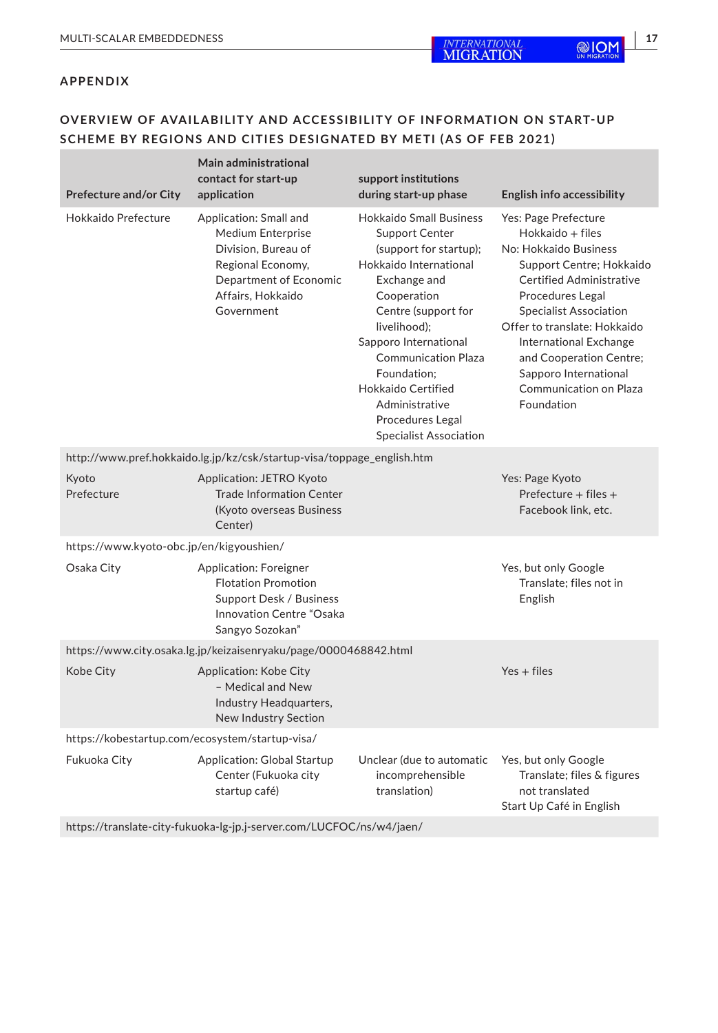### **OVERVIEW O F AVAILABILITY AND ACCESSIBILITY O F INFORMATION ON S TART- UP SCHEME BY REGIONS AND CITIES DESIGNATED BY METI (AS O F FEB 2021)**

| <b>Prefecture and/or City</b>                                    | Main administrational<br>contact for start-up<br>application                                                                                         | support institutions<br>during start-up phase                                                                                                                                                                                                                                                                                                        | <b>English info accessibility</b>                                                                                                                                                                                                                                                                                                           |
|------------------------------------------------------------------|------------------------------------------------------------------------------------------------------------------------------------------------------|------------------------------------------------------------------------------------------------------------------------------------------------------------------------------------------------------------------------------------------------------------------------------------------------------------------------------------------------------|---------------------------------------------------------------------------------------------------------------------------------------------------------------------------------------------------------------------------------------------------------------------------------------------------------------------------------------------|
| Hokkaido Prefecture                                              | Application: Small and<br>Medium Enterprise<br>Division, Bureau of<br>Regional Economy,<br>Department of Economic<br>Affairs, Hokkaido<br>Government | <b>Hokkaido Small Business</b><br><b>Support Center</b><br>(support for startup);<br>Hokkaido International<br>Exchange and<br>Cooperation<br>Centre (support for<br>livelihood);<br>Sapporo International<br><b>Communication Plaza</b><br>Foundation:<br>Hokkaido Certified<br>Administrative<br>Procedures Legal<br><b>Specialist Association</b> | Yes: Page Prefecture<br>Hokkaido + files<br>No: Hokkaido Business<br>Support Centre; Hokkaido<br>Certified Administrative<br>Procedures Legal<br><b>Specialist Association</b><br>Offer to translate: Hokkaido<br>International Exchange<br>and Cooperation Centre;<br>Sapporo International<br><b>Communication on Plaza</b><br>Foundation |
|                                                                  | http://www.pref.hokkaido.lg.jp/kz/csk/startup-visa/toppage_english.htm                                                                               |                                                                                                                                                                                                                                                                                                                                                      |                                                                                                                                                                                                                                                                                                                                             |
| Kyoto<br>Prefecture                                              | <b>Application: JETRO Kyoto</b><br><b>Trade Information Center</b><br>(Kyoto overseas Business<br>Center)                                            |                                                                                                                                                                                                                                                                                                                                                      | Yes: Page Kyoto<br>Prefecture $+$ files $+$<br>Facebook link, etc.                                                                                                                                                                                                                                                                          |
| https://www.kyoto-obc.jp/en/kigyoushien/                         |                                                                                                                                                      |                                                                                                                                                                                                                                                                                                                                                      |                                                                                                                                                                                                                                                                                                                                             |
| Osaka City                                                       | <b>Application: Foreigner</b><br><b>Flotation Promotion</b><br>Support Desk / Business<br>Innovation Centre "Osaka<br>Sangyo Sozokan"                |                                                                                                                                                                                                                                                                                                                                                      | Yes, but only Google<br>Translate: files not in<br>English                                                                                                                                                                                                                                                                                  |
| https://www.city.osaka.lg.jp/keizaisenryaku/page/0000468842.html |                                                                                                                                                      |                                                                                                                                                                                                                                                                                                                                                      |                                                                                                                                                                                                                                                                                                                                             |
| Kobe City                                                        | Application: Kobe City<br>- Medical and New<br>Industry Headquarters,<br>New Industry Section                                                        |                                                                                                                                                                                                                                                                                                                                                      | $Yes + files$                                                                                                                                                                                                                                                                                                                               |
| https://kobestartup.com/ecosystem/startup-visa/                  |                                                                                                                                                      |                                                                                                                                                                                                                                                                                                                                                      |                                                                                                                                                                                                                                                                                                                                             |
| Fukuoka City                                                     | <b>Application: Global Startup</b><br>Center (Fukuoka city<br>startup café)                                                                          | Unclear (due to automatic<br>incomprehensible<br>translation)                                                                                                                                                                                                                                                                                        | Yes, but only Google<br>Translate; files & figures<br>not translated<br>Start Up Café in English                                                                                                                                                                                                                                            |

<https://translate-city-fukuoka-lg-jp.j-server.com/LUCFOC/ns/w4/jaen/>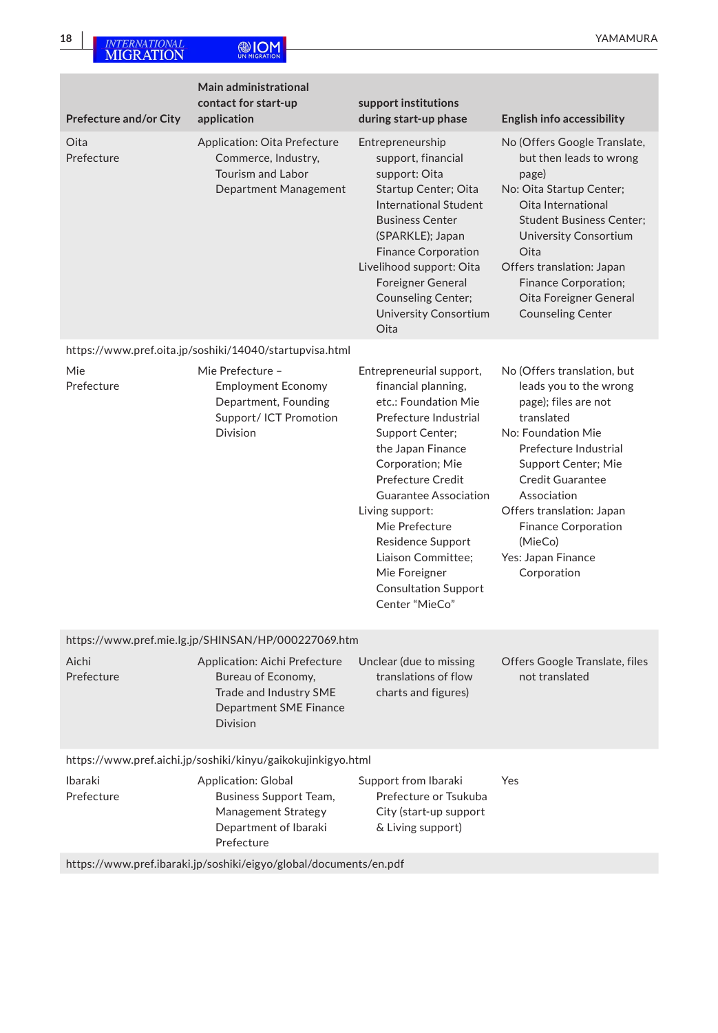| <b>Prefecture and/or City</b>                                     | Main administrational<br>contact for start-up<br>application                                                                      | support institutions<br>during start-up phase                                                                                                                                                                                                                                                                                                                       | <b>English info accessibility</b>                                                                                                                                                                                                                                                                                      |
|-------------------------------------------------------------------|-----------------------------------------------------------------------------------------------------------------------------------|---------------------------------------------------------------------------------------------------------------------------------------------------------------------------------------------------------------------------------------------------------------------------------------------------------------------------------------------------------------------|------------------------------------------------------------------------------------------------------------------------------------------------------------------------------------------------------------------------------------------------------------------------------------------------------------------------|
| Oita<br>Prefecture                                                | Application: Oita Prefecture<br>Commerce, Industry,<br><b>Tourism and Labor</b><br>Department Management                          | Entrepreneurship<br>support, financial<br>support: Oita<br><b>Startup Center</b> ; Oita<br><b>International Student</b><br><b>Business Center</b><br>(SPARKLE); Japan<br><b>Finance Corporation</b><br>Livelihood support: Oita<br><b>Foreigner General</b><br><b>Counseling Center;</b><br><b>University Consortium</b><br>Oita                                    | No (Offers Google Translate,<br>but then leads to wrong<br>page)<br>No: Oita Startup Center;<br>Oita International<br><b>Student Business Center;</b><br>University Consortium<br>Oita<br>Offers translation: Japan<br><b>Finance Corporation;</b><br>Oita Foreigner General<br><b>Counseling Center</b>               |
|                                                                   | https://www.pref.oita.jp/soshiki/14040/startupvisa.html                                                                           |                                                                                                                                                                                                                                                                                                                                                                     |                                                                                                                                                                                                                                                                                                                        |
| Mie<br>Prefecture                                                 | Mie Prefecture -<br><b>Employment Economy</b><br>Department, Founding<br>Support/ ICT Promotion<br><b>Division</b>                | Entrepreneurial support,<br>financial planning,<br>etc.: Foundation Mie<br>Prefecture Industrial<br>Support Center;<br>the Japan Finance<br>Corporation; Mie<br>Prefecture Credit<br><b>Guarantee Association</b><br>Living support:<br>Mie Prefecture<br>Residence Support<br>Liaison Committee;<br>Mie Foreigner<br><b>Consultation Support</b><br>Center "MieCo" | No (Offers translation, but<br>leads you to the wrong<br>page); files are not<br>translated<br>No: Foundation Mie<br>Prefecture Industrial<br>Support Center; Mie<br><b>Credit Guarantee</b><br>Association<br>Offers translation: Japan<br><b>Finance Corporation</b><br>(MieCo)<br>Yes: Japan Finance<br>Corporation |
|                                                                   | https://www.pref.mie.lg.jp/SHINSAN/HP/000227069.htm                                                                               |                                                                                                                                                                                                                                                                                                                                                                     |                                                                                                                                                                                                                                                                                                                        |
| Aichi<br>Prefecture                                               | Application: Aichi Prefecture<br>Bureau of Economy,<br>Trade and Industry SME<br><b>Department SME Finance</b><br><b>Division</b> | Unclear (due to missing<br>translations of flow<br>charts and figures)                                                                                                                                                                                                                                                                                              | Offers Google Translate, files<br>not translated                                                                                                                                                                                                                                                                       |
| https://www.pref.aichi.jp/soshiki/kinyu/gaikokujinkigyo.html      |                                                                                                                                   |                                                                                                                                                                                                                                                                                                                                                                     |                                                                                                                                                                                                                                                                                                                        |
| Ibaraki<br>Prefecture                                             | <b>Application: Global</b><br>Business Support Team,<br>Management Strategy<br>Department of Ibaraki<br>Prefecture                | Support from Ibaraki<br>Prefecture or Tsukuba<br>City (start-up support<br>& Living support)                                                                                                                                                                                                                                                                        | Yes                                                                                                                                                                                                                                                                                                                    |
| https://www.pref.ibaraki.jp/soshiki/eigyo/global/documents/en.pdf |                                                                                                                                   |                                                                                                                                                                                                                                                                                                                                                                     |                                                                                                                                                                                                                                                                                                                        |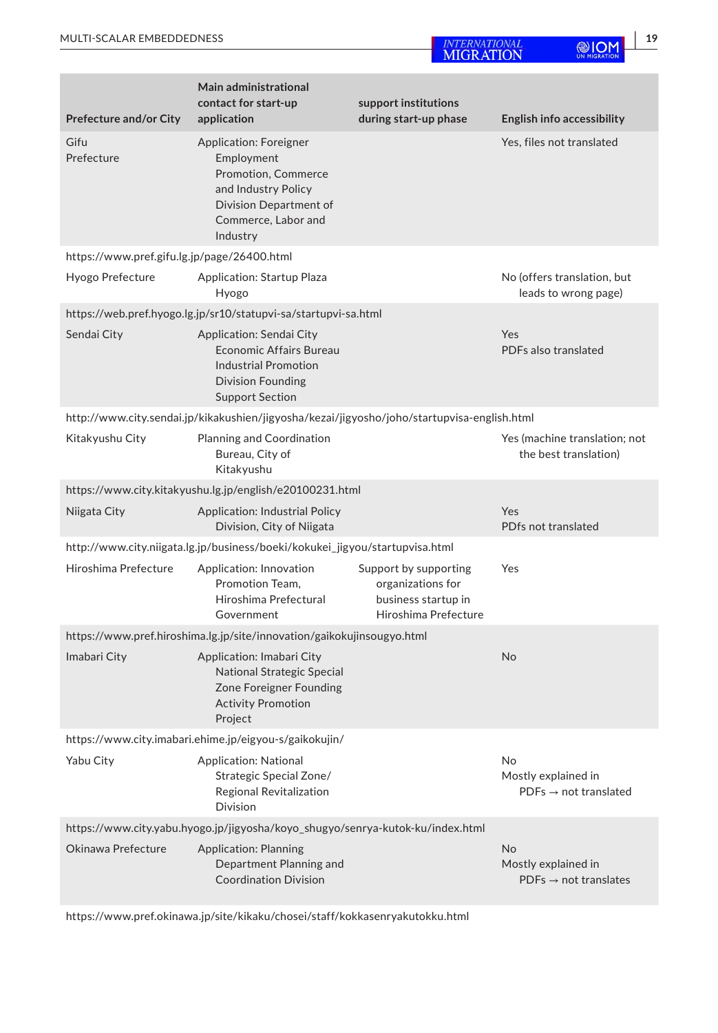| <b>Prefecture and/or City</b>                                                  | <b>Main administrational</b><br>contact for start-up<br>application                                                                             | support institutions<br>during start-up phase                                             | <b>English info accessibility</b>                                     |
|--------------------------------------------------------------------------------|-------------------------------------------------------------------------------------------------------------------------------------------------|-------------------------------------------------------------------------------------------|-----------------------------------------------------------------------|
| Gifu<br>Prefecture                                                             | Application: Foreigner<br>Employment<br>Promotion, Commerce<br>and Industry Policy<br>Division Department of<br>Commerce, Labor and<br>Industry |                                                                                           | Yes, files not translated                                             |
| https://www.pref.gifu.lg.jp/page/26400.html                                    |                                                                                                                                                 |                                                                                           |                                                                       |
| Hyogo Prefecture                                                               | Application: Startup Plaza<br>Hyogo                                                                                                             |                                                                                           | No (offers translation, but<br>leads to wrong page)                   |
|                                                                                | https://web.pref.hyogo.lg.jp/sr10/statupvi-sa/startupvi-sa.html                                                                                 |                                                                                           |                                                                       |
| Sendai City                                                                    | Application: Sendai City<br><b>Economic Affairs Bureau</b><br><b>Industrial Promotion</b><br><b>Division Founding</b><br><b>Support Section</b> |                                                                                           | Yes<br>PDFs also translated                                           |
|                                                                                | http://www.city.sendai.jp/kikakushien/jigyosha/kezai/jigyosho/joho/startupvisa-english.html                                                     |                                                                                           |                                                                       |
| Kitakyushu City                                                                | Planning and Coordination<br>Bureau, City of<br>Kitakyushu                                                                                      |                                                                                           | Yes (machine translation; not<br>the best translation)                |
|                                                                                | https://www.city.kitakyushu.lg.jp/english/e20100231.html                                                                                        |                                                                                           |                                                                       |
| Niigata City                                                                   | <b>Application: Industrial Policy</b><br>Division, City of Niigata                                                                              |                                                                                           | Yes<br>PDfs not translated                                            |
|                                                                                | http://www.city.niigata.lg.jp/business/boeki/kokukei_jigyou/startupvisa.html                                                                    |                                                                                           |                                                                       |
| Hiroshima Prefecture                                                           | Application: Innovation<br>Promotion Team.<br>Hiroshima Prefectural<br>Government                                                               | Support by supporting<br>organizations for<br>business startup in<br>Hiroshima Prefecture | Yes                                                                   |
|                                                                                | https://www.pref.hiroshima.lg.jp/site/innovation/gaikokujinsougyo.html                                                                          |                                                                                           |                                                                       |
| Imabari City                                                                   | Application: Imabari City<br>National Strategic Special<br>Zone Foreigner Founding<br><b>Activity Promotion</b><br>Project                      |                                                                                           | No                                                                    |
|                                                                                | https://www.city.imabari.ehime.jp/eigyou-s/gaikokujin/                                                                                          |                                                                                           |                                                                       |
| Yabu City                                                                      | <b>Application: National</b><br>Strategic Special Zone/<br>Regional Revitalization<br><b>Division</b>                                           |                                                                                           | No<br>Mostly explained in<br>$PDFs \rightarrow not translated$        |
| https://www.city.yabu.hyogo.jp/jigyosha/koyo_shugyo/senrya-kutok-ku/index.html |                                                                                                                                                 |                                                                                           |                                                                       |
| Okinawa Prefecture                                                             | <b>Application: Planning</b><br>Department Planning and<br><b>Coordination Division</b>                                                         |                                                                                           | <b>No</b><br>Mostly explained in<br>$PDFs \rightarrow not$ translates |

<https://www.pref.okinawa.jp/site/kikaku/chosei/staff/kokkasenryakutokku.html>